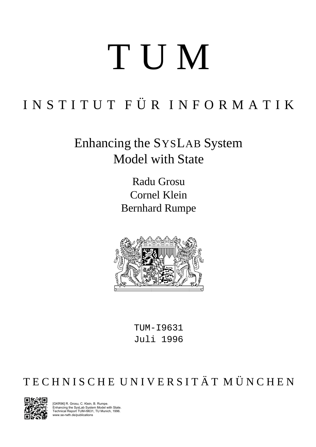# T U M

# INSTITUT FÜR INFORMATIK

# Enhancing the SYSLAB System Model with State

Radu Grosu Cornel Klein Bernhard Rumpe



TUM-I9631 Juli 1996

## TECHNISCHE UNIVERSITÄT MÜNCHEN



GKR96] R. Grosu, C. Klein, B. Rumpe Enhancing the SysLab System Model with State. Technical Report TUM-I9631, TU Munich, 1996. www.se-rwth.de/publications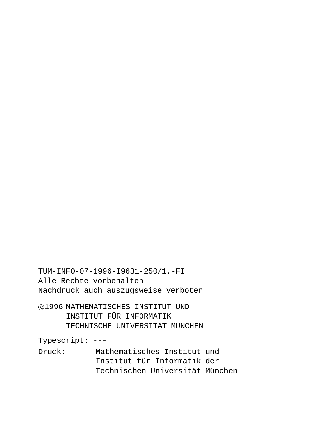TUM-INFO-07-1996-I9631-250/1.-FI Alle Rechte vorbehalten Nachdruck auch auszugsweise verboten

c 1996 MATHEMATISCHES INSTITUT UND INSTITUT FÜR INFORMATIK TECHNISCHE UNIVERSITÄT MÜNCHEN

Typescript: ---

Druck: Mathematisches Institut und Institut für Informatik der Technischen Universität München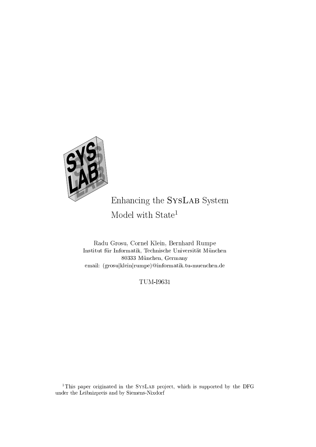

Enhancing the SYSLAB System Model with  $\operatorname{State}^1$ 

Radu Grosu, Cornel Klein, Bernhard Rumpe Institut für Informatik, Technische Universität München 80333 München, Germany email: (grosu|klein|rumpe)@informatik.tu-muenchen.de

TUM-I9631

<sup>1</sup>This paper originated in the SYSLAB project, which is supported by the DFG under the Leibnizpreis and by Siemens-Nixdorf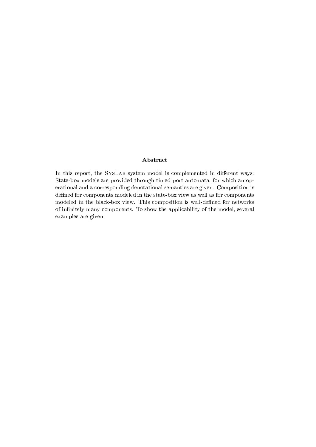### the contract of the contract of the contract of the contract of the contract of the contract of the contract of

 $\mathcal{P}$  and the contract fraction for the contract frequency of the contract of the contract of the contract of the contract of the contract of the contract of the contract of the contract of the contract of the contract  $\alpha$  is decomposite the following  $\alpha$  and  $\alpha$  is  $\alpha$ erational and a corresponding denotational semantics are given. Composition is defined for components modeled in the state-box view as well as for components modeled in the black-box view. This composition is well-defined for networks of infinitely many components. To show the applicability of the model, several examples are given.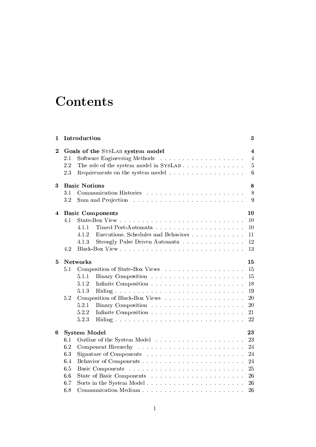### --

| 1               | Introduction                     |                                              |    |  |  |  |  |  |
|-----------------|----------------------------------|----------------------------------------------|----|--|--|--|--|--|
| $\overline{2}$  | Goals of the SYSLAB system model |                                              |    |  |  |  |  |  |
|                 | 2.1                              |                                              | 4  |  |  |  |  |  |
|                 | 2.2                              | The role of the system model in SYSLAB       | 5  |  |  |  |  |  |
|                 | 2.3                              | Requirements on the system model             | 6  |  |  |  |  |  |
| 3               | <b>Basic Notions</b>             |                                              |    |  |  |  |  |  |
|                 | 3.1                              |                                              | 8  |  |  |  |  |  |
|                 | 3.2                              |                                              | 9  |  |  |  |  |  |
| 4               |                                  | <b>Basic Components</b>                      | 10 |  |  |  |  |  |
|                 | 4.1                              |                                              | 10 |  |  |  |  |  |
|                 |                                  | 4.1.1                                        | 10 |  |  |  |  |  |
|                 |                                  | 4.1.2<br>Executions, Schedules and Behaviors | 11 |  |  |  |  |  |
|                 |                                  | 4.1.3<br>Strongly Pulse Driven Automata      | 12 |  |  |  |  |  |
|                 | 4.2                              |                                              | 13 |  |  |  |  |  |
| $\mathbf{5}$    | <b>Networks</b>                  |                                              |    |  |  |  |  |  |
|                 | 5.1                              |                                              | 15 |  |  |  |  |  |
|                 |                                  | 5.1.1                                        | 15 |  |  |  |  |  |
|                 |                                  | 5.1.2                                        | 18 |  |  |  |  |  |
|                 |                                  | 5.1.3                                        | 19 |  |  |  |  |  |
|                 | 5.2                              |                                              |    |  |  |  |  |  |
|                 |                                  | 5.2.1                                        | 20 |  |  |  |  |  |
|                 |                                  | 5.2.2                                        | 21 |  |  |  |  |  |
|                 |                                  | 5.2.3                                        | 22 |  |  |  |  |  |
| $6\phantom{.}6$ | <b>System Model</b>              |                                              |    |  |  |  |  |  |
|                 | 6.1                              |                                              |    |  |  |  |  |  |
|                 | 6.2                              |                                              |    |  |  |  |  |  |
|                 | 6.3                              |                                              |    |  |  |  |  |  |
|                 | 6.4                              |                                              |    |  |  |  |  |  |
|                 | 6.5                              |                                              |    |  |  |  |  |  |
|                 | 6.6                              |                                              |    |  |  |  |  |  |
|                 | 6.7                              |                                              |    |  |  |  |  |  |
|                 | 6.8                              | Communication Medium                         | 26 |  |  |  |  |  |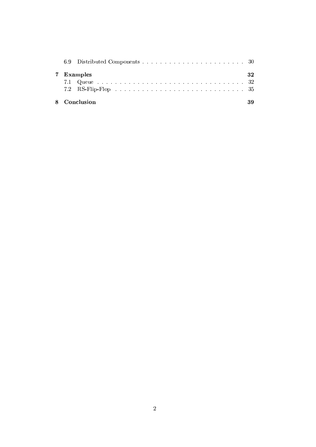| 7 Examples |              |  |  |  |  |  |  |  |
|------------|--------------|--|--|--|--|--|--|--|
|            |              |  |  |  |  |  |  |  |
|            |              |  |  |  |  |  |  |  |
|            | 8 Conclusion |  |  |  |  |  |  |  |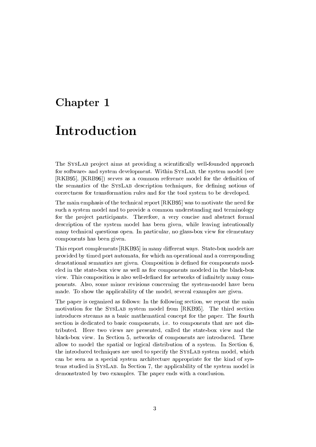### Chapter 1

### Introduction

The SYSLAB project aims at providing a scientifically well-founded approach for software- and system development. Within SYSLAB, the system model (see [RKB95]. [KRB96]) serves as a common reference model for the definition of the semantics of the SYSLAB description techniques, for defining notions of correctness for transformation rules and for the tool system to be developed.

The main emphasis of the technical report [RKB95] was to motivate the need for such a system model and to provide a common understanding and terminology for the project participants. Therefore, a very concise and abstract formal description of the system model has been given, while leaving intentionally many technical questions open. In particular, no glass-box view for elementary components has been given.

This report complements [RKB95] in many different ways. State-box models are provided by timed port automata, for which an operational and a corresponding denotational semantics are given. Composition is defined for components modeled in the state-box view as well as for components modeled in the black-box view. This composition is also well-defined for networks of infinitely many components. Also, some minor revisions concerning the system-model have been made. To show the applicability of the model, several examples are given.

The paper is organized as follows: In the following section, we repeat the main motivation for the SYSLAB system model from [RKB95]. The third section introduces streams as a basic mathematical concept for the paper. The fourth section is dedicated to basic components, i.e. to components that are not distributed. Here two views are presented, called the state-box view and the black-box view. In Section 5, networks of components are introduced. These allow to model the spatial or logical distribution of a system. In Section 6, the introduced techniques are used to specify the SYSLAB system model, which can be seen as a special system architecture appropriate for the kind of systems studied in SYSLAB. In Section 7, the applicability of the system model is demonstrated by two examples. The paper ends with a conclusion.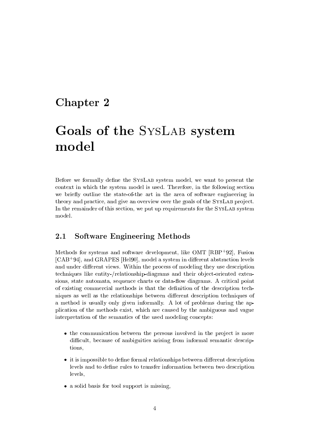### Chapter 2

# Goals of the SYSLAB system model

Before we formally define the SYSLAB system model, we want to present the context in which the system model is used. Therefore, in the following section we briefly outline the state-of-the art in the area of software engineering in theory and practice, and give an overview over the goals of the SYSLAB project. In the remainder of this section, we put up requirements for the SYSLAB system model.

#### 2.1 **Software Engineering Methods**

Methods for systems and software development, like  $OMT$  [RBP+92], Fusion  $[CAB<sup>+</sup>94]$ , and GRAPES [Hel90], model a system in different abstraction levels and under different views. Within the process of modeling they use description techniques like entity-/relationship-diagrams and their object-oriented extensions, state automata, sequence charts or data-flow diagrams. A critical point of existing commercial methods is that the definition of the description techniques as well as the relationships between different description techniques of a method is usually only given informally. A lot of problems during the application of the methods exist, which are caused by the ambiguous and vague interpretation of the semantics of the used modeling concepts:

- the communication between the persons involved in the project is more difficult, because of ambiguities arising from informal semantic descriptions,
- it is impossible to define formal relationships between different description levels and to define rules to transfer information between two description levels,
- a solid basis for tool support is missing,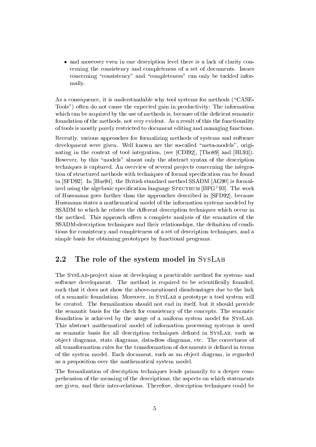• and moreover even in one description level there is a lack of clarity concerning the consistency and completeness of a set of documents. Issues concerning "consistency" and "completeness" can only be tackled informally.

As a consequence, it is understandable why tool systems for methods ("CASE-Tools") often do not cause the expected gain in productivity: The information which can be acquired by the use of methods is, because of the deficient semantic foundation of the methods, not very evident. As a result of this the functionality of tools is mostly purely restricted to document editing and managing functions.

Recently, various approaches for formalizing methods of systems and software development were given. Well known are the so-called "meta-models", originating in the context of tool integration, (see [CDI92], [Tho89] and [HL93]). However, by this "models" almost only the abstract syntax of the description techniques is captured. An overview of several projects concerning the integration of structured methods with techniques of formal specification can be found in [SFD92]. In [Hus94], the British standard method SSADM [AG90] is formalized using the algebraic specification language SPECTRUM [BFG<sup>+93]</sup>. The work of Hussmann goes further than the approaches described in [SFD92], because Hussmann states a mathematical model of the information systems modeled by SSADM to which he relates the different description techniques which occur in the method. This approach offers a complete analysis of the semantics of the SSADM-description techniques and their relationships, the definition of conditions for consistency and completeness of a set of description techniques, and a simple basis for obtaining prototypes by functional programs.

#### 2.2 The role of the system model in SYSLAB

The SYSLAB-project aims at developing a practicable method for system- and software development. The method is required to be scientifically founded, such that it does not show the above-mentioned disadvantages due to the lack of a semantic foundation. Moreover, in SYSLAB a prototype a tool system will be created. The formalization should not end in itself, but it should provide the semantic basis for the check for consistency of the concepts. The semantic foundation is achieved by the usage of a uniform system model for SYSLAB. This abstract mathematical model of information processing systems is used as semantic basis for all description techniques defined in SYSLAB, such as object diagrams, state diagrams, data-flow diagrams, etc. The correctness of all transformation rules for the transformation of documents is defined in terms of the system model. Each document, such as an object diagram, is regarded as a proposition over the mathematical system model.

The formalization of description techniques leads primarily to a deeper comprehension of the meaning of the descriptions, the aspects on which statements are given, and their inter-relations. Therefore, description techniques could be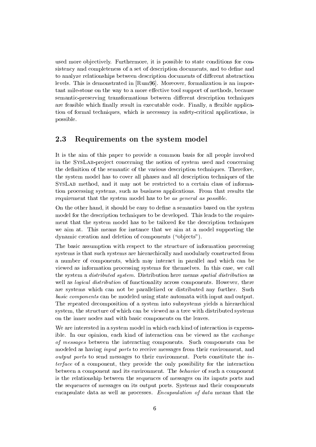used more objectively. Furthermore, it is possible to state conditions for consistency and completeness of a set of description documents, and to define and to analyze relationships between description documents of different abstraction levels. This is demonstrated in  $\lceil \text{Run96} \rceil$ . Moreover, formalization is an important mile-stone on the way to a more effective tool support of methods, because semantic-preserving transformations between different description techniques are feasible which finally result in executable code. Finally, a flexible application of formal techniques, which is necessary in safety-critical applications, is possible.

#### 2.3 Requirements on the system model

It is the aim of this paper to provide a common basis for all people involved in the SYSLAB-project concerning the notion of system used and concerning the definition of the semantic of the various description techniques. Therefore, the system model has to cover all phases and all description techniques of the SYSLAB method, and it may not be restricted to a certain class of information processing systems, such as business applications. From that results the requirement that the system model has to be as general as possible.

On the other hand, it should be easy to define a semantics based on the system model for the description techniques to be developed. This leads to the requirement that the system model has to be tailored for the description techniques we aim at. This means for instance that we aim at a model supporting the dynamic creation and deletion of components ("objects").

The basic assumption with respect to the structure of information processing systems is that such systems are hierarchically and modularly constructed from a number of components, which may interact in parallel and which can be viewed as information processing systems for themselves. In this case, we call the system a *distributed system*. Distribution here means *spatial distribution* as well as *logical distribution* of functionality across components. However, there are systems which can not be parallelized or distributed any further. Such *basic components* can be modeled using state automata with input and output. The repeated decomposition of a system into subsystems vields a hierarchical system, the structure of which can be viewed as a tree with distributed systems on the inner nodes and with basic components on the leaves.

We are interested in a system model in which each kind of interaction is expressible. In our opinion, each kind of interaction can be viewed as the exchange of messages between the interacting components. Such components can be modeled as having *input ports* to receive messages from their environment, and *output ports* to send messages to their environment. Ports constitute the in*terface* of a component, they provide the only possibility for the interaction between a component and its environment. The *behavior* of such a component is the relationship between the sequences of messages on its inputs ports and the sequences of messages on its output ports. Systems and their components encapsulate data as well as processes. Encapsulation of data means that the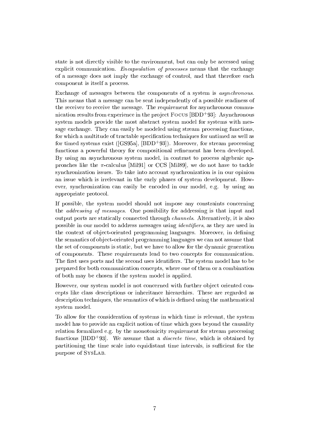state is not directly visible to the environment, but can only be accessed using explicit communication. Encapsulation of processes means that the exchange of a message does not imply the exchange of control, and that therefore each component is itself a process.

Exchange of messages between the components of a system is *asynchronous*. This means that a message can be sent independently of a possible readiness of the receiver to receive the message. The requirement for asynchronous communication results from experience in the project FOCUS [BDD<sup>+93]</sup>: Asynchronous system models provide the most abstract system model for systems with message exchange. They can easily be modeled using stream processing functions, for which a multitude of tractable specification techniques for untimed as well as for timed systems exist ( $[GS95a]$ ,  $[BDD<sup>+</sup>93]$ ). Moreover, for stream processing functions a powerful theory for compositional refinement has been developed. By using an asynchronous system model, in contrast to process algebraic approaches like the  $\pi$ -calculus [Mil91] or CCS [Mil89], we do not have to tackle synchronization issues. To take into account synchronization is in our opinion an issue which is irrelevant in the early phases of system development. However, synchronization can easily be encoded in our model, e.g. by using an appropriate protocol.

If possible, the system model should not impose any constraints concerning the *addressing of messages*. One possibility for addressing is that input and output ports are statically connected through *channels*. Alternatively, it is also possible in our model to address messages using *identifiers*, as they are used in the context of object-oriented programming languages. Moreover, in defining the semantics of object-oriented programming languages we can not assume that the set of components is static, but we have to allow for the dynamic generation of components. These requirements lead to two concepts for communication. The first uses ports and the second uses identifiers. The system model has to be prepared for both communication concepts, where one of them or a combination of both may be chosen if the system model is applied.

However, our system model is not concerned with further object oriented concepts like class descriptions or inheritance hierarchies. These are regarded as description techniques, the semantics of which is defined using the mathematical system model.

To allow for the consideration of systems in which time is relevant, the system model has to provide an explicit notion of time which goes beyond the causality relation formalized e.g. by the monotonicity requirement for stream processing functions [BDD<sup>+</sup>93]. We assume that a *discrete time*, which is obtained by partitioning the time scale into equidistant time intervals, is sufficient for the purpose of SYSLAB.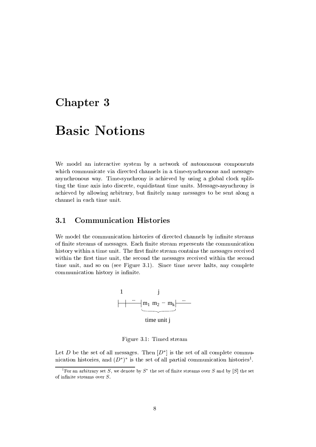### -

### - -

We model an interactive system by a network of autonomous components which communicate via directed channels in a time-synchronous and message- $\mathcal{L}=\mathcal{L}=\mathcal{L}=\mathcal{L}=\mathcal{L}=\mathcal{L}=\mathcal{L}=\mathcal{L}=\mathcal{L}=\mathcal{L}=\mathcal{L}=\mathcal{L}=\mathcal{L}=\mathcal{L}=\mathcal{L}=\mathcal{L}=\mathcal{L}=\mathcal{L}=\mathcal{L}=\mathcal{L}=\mathcal{L}=\mathcal{L}=\mathcal{L}=\mathcal{L}=\mathcal{L}=\mathcal{L}=\mathcal{L}=\mathcal{L}=\mathcal{L}=\mathcal{L}=\mathcal{L}=\mathcal{L}=\mathcal{L}=\mathcal{L}=\mathcal{L}=\mathcal{L}=\mathcal{$  $\mathcal{D}$  and the contract method in the contract of the contract of the contract of the contract of the contract of the contract of the contract of the contract of the contract of the contract of the contract of the contr achieved by allowing arbitrary, but finitely many messages to be sent along a channel in each time unit.

### 3.1 Communication Histories

We model the communication histories of directed channels by infinite streams of finite streams of messages. Each finite stream represents the communication history within a time unit. The first finite stream contains the messages received within the first time unit, the second the messages received within the second time unit, and so on (see Figure 3.1). Since time never halts, any complete  $communication~ history~ is~infinite.$ 



Figure 3.1: Timed stream

 $\bm{x}$  and  $\bm{x}$  are motion of the contract of the contract model of the contract of the contract of the contract of the contract of the contract of the contract of the contract of the contract of the contract of the con  $\mathcal{L}$  , and the contract  $\mathcal{L}$  is matriced  $\mathcal{L}$  . The point  $\mathcal{L}$  is the contract of  $\mathcal{L}$ 

<sup>&</sup>lt;sup>1</sup>For an arbitrary set S, we denote by S<sup>\*</sup> the set of finite streams over S and by [S] the set of infinite streams over  $S$ .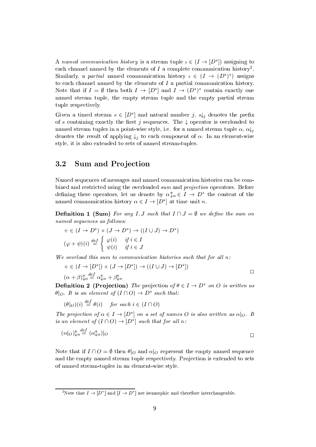A named communication history is a stream tuple  $\iota \in (I \to [D^*])$  assigning to each channel named by the elements of  $I$  a complete communication history<sup>2</sup>. Similarly, a partial named communication history  $\iota \in (I \to (D^*)^*)$  assigns to each channel named by the elements of  $I$  a partial communication history. Note that if  $I = \emptyset$  then both  $I \to [D^*]$  and  $I \to (D^*)^*$  contain exactly one named stream tuple, the empty stream tuple and the empty partial stream tuple respectively.

Given a timed stream  $s \in [D^*]$  and natural number j,  $s\downarrow_i$  denotes the prefix of s containing exactly the first j sequences. The  $\downarrow$  operator is overloaded to named stream tuples in a point-wise style, i.e. for a named stream tuple  $\alpha$ ,  $\alpha\downarrow$ denotes the result of applying  $\downarrow_i$  to each component of  $\alpha$ . In an element-wise style, it is also extended to sets of named stream-tuples.

#### 3.2 **Sum and Projection**

Named sequences of messages and named communication histories can be combined and restricted using the overloaded sum and projection operators. Before defining these operators, let us denote by  $\alpha \uparrow_n \in I \to D^*$  the content of the named communication history  $\alpha \in I \to [D^*]$  at time unit n.

**Definition 1 (Sum)** For any I, J such that  $I \cap J = \emptyset$  we define the sum on named sequences as follows:

$$
+ \in (I \to D^*) \times (J \to D^*) \to ((I \cup J) \to D^*)
$$
  

$$
(\varphi + \psi)(i) \stackrel{def}{=} \begin{cases} \varphi(i) & \text{if } i \in I \\ \psi(i) & \text{if } i \in J \end{cases}
$$

We overload this sum to communication histories such that for all  $n$ :

+ 
$$
\in (I \to [D^*]) \times (J \to [D^*]) \to ((I \cup J) \to [D^*])
$$
  
\n $(\alpha + \beta)\uparrow_n \stackrel{def}{=} \alpha\uparrow_n + \beta\uparrow_n$ 

**Definition 2** (Projection) The projection of  $\theta \in I \to D^*$  on O is written as  $\theta|_O$ . It is an element of  $(I \cap O) \to D^*$  such that:

$$
(\theta|_O)(i) \stackrel{def}{=} \theta(i)
$$
 for each  $i \in (I \cap O)$ 

The projection of  $\alpha \in I \to [D^*]$  on a set of names O is also written as  $\alpha|_O$ . It is an element of  $(I \cap O) \rightarrow [D^*]$  such that for all n:

$$
(\alpha|_O)\updownarrow_n \stackrel{def}{=} (\alpha\updownarrow_n)|_O
$$

Note that if  $I \cap O = \emptyset$  then  $\theta|_O$  and  $\alpha|_O$  represent the empty named sequence and the empty named stream tuple respectively. Projection is extended to sets of named stream-tuples in an element-wise style.

<sup>&</sup>lt;sup>2</sup>Note that  $I \rightarrow [D^*]$  and  $[I \rightarrow D^*]$  are isomorphic and therefore interchangeable.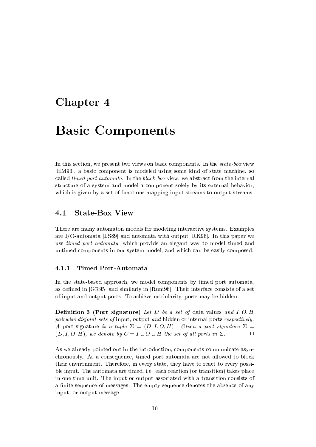### Chapter 4

### **Basic Components**

In this section, we present two views on basic components. In the *state-box* view [HM93], a basic component is modeled using some kind of state machine, so called *timed port automata*. In the *black-box* view, we abstract from the internal structure of a system and model a component solely by its external behavior, which is given by a set of functions mapping input streams to output streams.

#### $4.1$ **State-Box View**

There are many automaton models for modeling interactive systems. Examples are I/O-automata [LS89] and automata with output [RK96]. In this paper we use timed port automata, which provide an elegant way to model timed and untimed components in our system model, and which can be easily composed.

#### $4.1.1$ **Timed Port-Automata**

In the state-based approach, we model components by timed port automata, as defined in [GR95] and similarly in [Rum96]. Their interface consists of a set of input and output ports. To achieve modularity, ports may be hidden.

**Definition 3 (Port signature)** Let D be a set of data values and  $I, O, H$ pairwise disjoint sets of input, output and hidden or internal ports respectively. A port signature is a tuple  $\Sigma = (D, I, O, H)$ . Given a port signature  $\Sigma =$  $(D, I, O, H)$ , we denote by  $C = I \cup O \cup H$  the set of all ports in  $\Sigma$ .  $\Box$ 

As we already pointed out in the introduction, components communicate asynchronously. As a consequence, timed port automata are not allowed to block their environment. Therefore, in every state, they have to react to every possible input. The automata are timed, i.e. each reaction (or transition) takes place in one time unit. The input or output associated with a transition consists of a finite sequence of messages. The empty sequence denotes the absence of any input- or output message.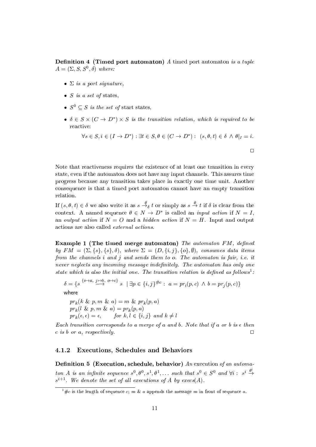**Definition 4 (Timed port automaton)** A timed port automaton is a tuple  $A = (\Sigma, S, S^0, \delta)$  where:

- $\bullet$   $\Sigma$  is a port signature,
- $S$  is a set of states,
- $S^0 \subset S$  is the set of start states.
- $\delta \in S \times (C \to D^*) \times S$  is the transition relation, which is required to be reactive:

$$
\forall s \in S, i \in (I \to D^*) : \exists t \in S, \theta \in (C \to D^*) : (s, \theta, t) \in \delta \land \theta|_{I} = i.
$$

 $\Box$ 

Note that reactiveness requires the existence of at least one transition in every state, even if the automaton does not have any input channels. This assures time progress because any transition takes place in exactly one time unit. Another consequence is that a timed port automaton cannot have an empty transition relation.

If  $(s, \theta, t) \in \delta$  we also write it as  $s \stackrel{\theta}{\to} t$  or simply as  $s \stackrel{\theta}{\to} t$  if  $\delta$  is clear from the context. A named sequence  $\theta \in N \to D^*$  is called an *input action* if  $N = I$ . an *output action* if  $N = O$  and a *hidden action* if  $N = H$ . Input and output actions are also called *external actions*.

**Example 1 (The timed merge automaton)** The automaton FM, defined by  $FM = (\Sigma, \{s\}, \{s\}, \delta)$ , where  $\Sigma = (D, \{i, j\}, \{o\}, \emptyset)$ , consumes data items from the channels i and j and sends them to o. The automaton is fair, i.e. it never nealects any incoming message indefinitely. The automaton has only one state which is also the initial one. The transition relation is defined as  $follows<sup>1</sup>$ :

$$
\delta = \{s \stackrel{\{i \mapsto a, j \mapsto b, o \mapsto c\}}{\longrightarrow} s \mid \exists p \in \{i, j\}^{\#c} : a = pr_i(p, c) \land b = pr_j(p, c)\}
$$
\nwhere

 $\begin{array}{l} pr_k(k \And p, m \And a) = m \And pr_k(p, a) \\ pr_k(l \And p, m \And a) = pr_k(p, a) \\ pr_k(\epsilon, \epsilon) = \epsilon, \qquad for \: k, l \in \{i, j\} \: \: and \: k \neq l \end{array}$ 

Each transition corresponds to a merge of a and b. Note that if a or b is  $\epsilon$  then  $c$  is  $b$  or  $a$ , respectively.  $\Box$ 

#### 4.1.2 **Executions, Schedules and Behaviors**

Definition 5 (Execution, schedule, behavior)  $An$  execution of an automaton A is an infinite sequence  $s^0, \theta^0, s^1, \theta^1, \ldots$  such that  $s^0 \in S^0$  and  $\forall i : s^i \stackrel{\theta^i}{\rightarrow}$  $s^{i+1}$ . We denote the set of all executions of A by execs(A).

 $\frac{1}{1}$ #c is the length of sequence c; m & a appends the message m in front of sequence a.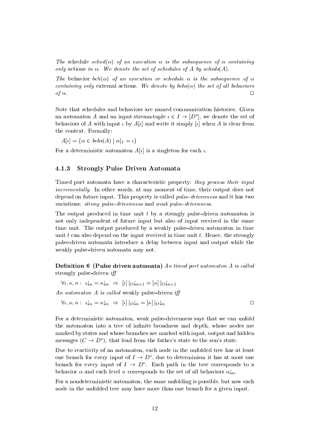The schedule sched( $\alpha$ ) of an execution  $\alpha$  is the subsequence of  $\alpha$  containing only actions in  $\alpha$ . We denote the set of schedules of A by scheds(A).

The behavior beh( $\alpha$ ) of an execution or schedule  $\alpha$  is the subsequence of  $\alpha$ containing only external actions. We denote by behs( $\alpha$ ) the set of all behaviors  $\Box$ of  $\alpha$ .

Note that schedules and behaviors are named communication histories. Given an automaton A and an input stream-tuple  $\iota \in I \to [D^*]$ , we denote the set of behaviors of A with input  $\iota$  by  $A[\iota]$  and write it simply  $[\iota]$  when A is clear from the context. Formally:

 $A[\iota] = {\alpha \in behs(A) | \alpha|_I = \iota}$ 

For a deterministic automaton  $A[\iota]$  is a singleton for each  $\iota$ .

#### 4.1.3 **Strongly Pulse Driven Automata**

Timed port automata have a characteristic property: they process their input *incrementally*. In other words, at any moment of time, their output does not depend on future input. This property is called *pulse-drivenness* and it has two variations: *strong pulse-drivenness* and *weak pulse-drivenness*.

The output produced in time unit  $t$  by a strongly pulse-driven automaton is not only independent of future input but also of input received in the same time unit. The output produced by a weakly pulse-driven automaton in time unit  $t$  can also depend on the input received in time unit  $t$ . Hence, the strongly pulse-driven automata introduce a delay between input and output while the weakly pulse-driven automata may not.

**Definition 6 (Pulse driven automata)** An timed port automaton A is called strongly pulse-driven  $iff$ 

 $\forall \iota, \kappa, n: \ \mathrm{L}\!\!\downarrow_{n} = \kappa \!\!\downarrow_{n} \ \Rightarrow \ [\iota] \, |\mathit{O}\!\!\downarrow_{n+1} = [\kappa] \, |\mathit{O}\!\!\downarrow_{n+1}$ 

An automaton A is called weakly pulse-driven iff

 $\forall \iota, \kappa, n: \ \iota \downarrow_n = \kappa \downarrow_n \ \Rightarrow \ [ \iota ] |_{O} \downarrow_n = [\kappa] |_{O} \downarrow_n$  $\Box$ 

For a deterministic automaton, weak pulse-drivenness says that we can unfold the automaton into a tree of infinite broadness and depth, whose nodes are marked by states and whose branches are marked with input, output and hidden messages  $(C \to D^*)$ , that lead from the father's state to the son's state.

Due to reactivity of an automaton, each node in the unfolded tree has at least one branch for every input of  $I \to D^*$ , due to determinism it has at most one branch for every input of  $I \to D^*$ . Each path in the tree corresponds to a behavior  $\alpha$  and each level *n* corresponds to the set of all behaviors  $\alpha\vert_n$ .

For a nondeterministic automaton, the same unfolding is possible, but now each node in the unfolded tree may have more than one branch for a given input.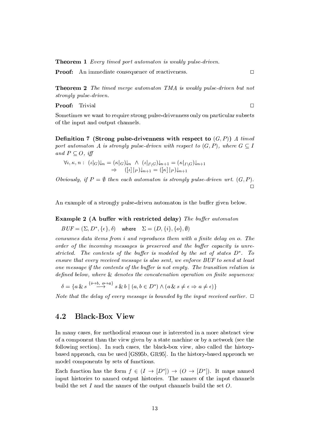**Theorem 1** Every timed port automaton is weakly pulse-driven.

Proof: An immediate consequence of reactiveness.

**Theorem 2** The timed merge automaton TMA is weakly pulse-driven but not strongly pulse-driven.

Proof: Trivial

 $\Box$ 

 $\Box$ 

Sometimes we want to require strong pulse-drivenness only on particular subsets of the input and output channels.

Definition 7 (Strong pulse-drivenness with respect to  $(G, P)$ ) A timed port automator A is strongly pulse-driven with respect to  $(G, P)$ , where  $G \subseteq I$ and  $P \subseteq O$ , iff

$$
\forall \iota, \kappa, n: \ ( \iota|_G) \downarrow_n = (\kappa|_G) \downarrow_n \ \wedge \ ( \iota|_{I \setminus G}) \downarrow_{n+1} = (\kappa|_{I \setminus G}) \downarrow_{n+1}
$$
  

$$
\Rightarrow \ ( [ \iota] |_P) \downarrow_{n+1} = ([\kappa|_P) \downarrow_{n+1}
$$

Obviously, if  $P = \emptyset$  then each automaton is strongly pulse-driven wrt.  $(G, P)$ .

An example of a strongly pulse-driven automaton is the buffer given below.

**Example 2 (A buffer with restricted delay)** The buffer automaton

 $BUF = (\Sigma, D^*, {\{\epsilon\}}, \delta)$  where  $\Sigma = (D, {\{i\}}, {\{o\}}, \emptyset)$ 

consumes data items from *i* and reproduces them with a finite delay on *o*. The order of the incoming messages is preserved and the buffer capacity is unrestricted. The contents of the buffer is modeled by the set of states  $D^*$ . To ensure that every received message is also sent, we enforce BUF to send at least one message if the contents of the buffer is not empty. The transition relation is defined below, where & denotes the concatenation operation on finite sequences:

$$
\delta = \{ a \& s \xrightarrow{\{i \mapsto b, \ o \mapsto a\}} s \& b \mid (a, b \in D^*) \land (a \& s \neq \epsilon \Rightarrow a \neq \epsilon) \}
$$

Note that the delay of every message is bounded by the input received earlier.  $\Box$ 

#### 4.2 **Black-Box View**

 $\Delta \sim 100$ 

In many cases, for methodical reasons one is interested in a more abstract view of a component than the view given by a state machine or by a network (see the following section). In such cases, the black-box view, also called the historybased approach, can be used [GS95b, GR95]. In the history-based approach we model components by sets of functions.

Each function has the form  $f \in (I \to [D^*]) \to (O \to [D^*])$ . It maps named input histories to named output histories. The names of the input channels build the set  $I$  and the names of the output channels build the set  $O$ .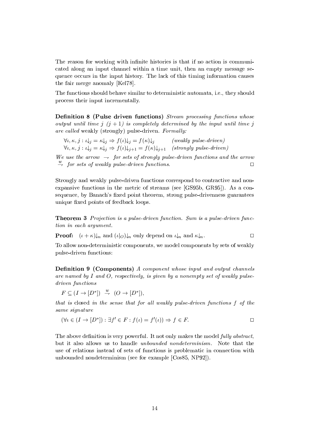The reason for working with infinite histories is that if no action is communicated along an input channel within a time unit, then an empty message sequence occurs in the input history. The lack of this timing information causes the fair merge anomaly [Kel78].

The functions should behave similar to deterministic automata, i.e., they should process their input incrementally.

**Definition 8 (Pulse driven functions)** Stream processing functions whose output until time  $j$   $(j + 1)$  is completely determined by the input until time j are called weakly (strongly) pulse-driven. Formally:

 $\forall i, \kappa, j : \iota \downarrow_j = \kappa \downarrow_j \Rightarrow f(\iota) \downarrow_j = f(\kappa) \downarrow_j$  (weakly pulse-driven)<br>  $\forall \iota, \kappa, j : \iota \downarrow_j = \kappa \downarrow_j \Rightarrow f(\iota) \downarrow_{j+1} = f(\kappa) \downarrow_{j+1}$  (strongly pulse-driven)

We use the arrow  $\rightarrow$  for sets of strongly pulse-driven functions and the arrow  $\stackrel{w}{\rightarrow}$  for sets of weakly pulse-driven functions.  $\Box$ 

Strongly and weakly pulse-driven functions correspond to contractive and nonexpansive functions in the metric of streams (see [GS95b, GR95]). As a consequence, by Banach's fixed point theorem, strong pulse-drivenness guarantees unique fixed points of feedback loops.

**Theorem 3** Projection is a pulse-driven function. Sum is a pulse-driven function in each argument.

**Proof:**  $(\iota + \kappa)\downarrow_n$  and  $(\iota|_O)\downarrow_n$  only depend on  $\iota\downarrow_n$  and  $\kappa\downarrow_n$ .  $\Box$ 

To allow non-deterministic components, we model components by sets of weakly pulse-driven functions:

**Definition 9 (Components)** A component whose input and output channels are named by  $I$  and  $O$ , respectively, is given by a nonempty set of weakly pulsedriven functions

 $F \subseteq (I \rightarrow [D^*]) \stackrel{w}{\rightarrow} (O \rightarrow [D^*]),$ 

that is closed in the sense that for all weakly pulse-driven functions f of the same signature

$$
(\forall \iota \in (I \to [D^*]): \exists f' \in F : f(\iota) = f'(\iota)) \Rightarrow f \in F.
$$

The above definition is very powerful. It not only makes the model fully abstract, but it also allows us to handle *unbounded nondeterminism*. Note that the use of relations instead of sets of functions is problematic in connection with unbounded nondeterminism (see for example [Cos85, NP92]).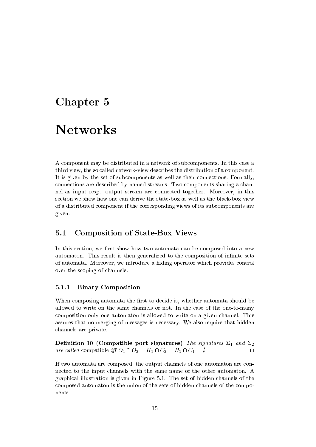### Chapter 5

### **Networks**

A component may be distributed in a network of subcomponents. In this case a third view, the so called network-view describes the distribution of a component. It is given by the set of subcomponents as well as their connections. Formally, connections are described by named streams. Two components sharing a channel as input resp. output stream are connected together. Moreover, in this section we show how one can derive the state-box as well as the black-box view of a distributed component if the corresponding views of its subcomponents are given.

#### $5.1$ **Composition of State-Box Views**

In this section, we first show how two automata can be composed into a new automaton. This result is then generalized to the composition of infinite sets of automata. Moreover, we introduce a hiding operator which provides control over the scoping of channels.

#### $5.1.1$ **Binary Composition**

When composing automata the first to decide is, whether automata should be allowed to write on the same channels or not. In the case of the one-to-many composition only one automator is allowed to write on a given channel. This assures that no merging of messages is necessary. We also require that hidden channels are private.

Definition 10 (Compatible port signatures) The signatures  $\Sigma_1$  and  $\Sigma_2$ are called compatible iff  $O_1 \cap O_2 = H_1 \cap C_2 = H_2 \cap C_1 = \emptyset$  $\Box$ 

If two automata are composed, the output channels of one automaton are connected to the input channels with the same name of the other automaton. A graphical illustration is given in Figure 5.1. The set of hidden channels of the composed automaton is the union of the sets of hidden channels of the components.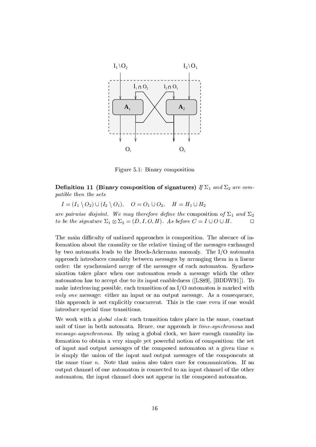

Figure 5.1: Binary composition

Definition 11 (Binary composition of signatures) If  $\Sigma_1$  and  $\Sigma_2$  are compatible then the sets

 $I = (I_1 \setminus O_2) \cup (I_2 \setminus O_1), \quad O = O_1 \cup O_2, \quad H = H_1 \cup H_2$ 

are pairwise disjoint. We may therefore define the composition of  $\Sigma_1$  and  $\Sigma_2$ to be the signature  $\Sigma_1 \otimes \Sigma_2 = (D, I, O, H)$ . As before  $C = I \cup O \cup H$ .  $\Box$ 

The main difficulty of untimed approaches is composition. The absence of information about the causality or the relative timing of the messages exchanged by two automata leads to the Brock-Ackerman anomaly. The I/O automata approach introduces causality between messages by arranging them in a linear order: the synchronized merge of the messages of each automaton. Synchronization takes place when one automaton sends a message which the other automaton has to accept due to its input enabledness ([LS89], [BDDW91]). To make interleaving possible, each transition of an  $I/O$  automaton is marked with only one message: either an input or an output message. As a consequence, this approach is not explicitly concurrent. This is the case even if one would introduce special time transitions.

We work with a *global clock*: each transition takes place in the same, constant unit of time in both automata. Hence, our approach is *time-synchronous* and *message-asynchronous.* By using a global clock, we have enough causality information to obtain a very simple yet powerful notion of composition: the set of input and output messages of the composed automaton at a given time  $n$ is simply the union of the input and output messages of the components at the same time  $n$ . Note that union also takes care for communication. If an output channel of one automaton is connected to an input channel of the other automaton, the input channel does not appear in the composed automaton.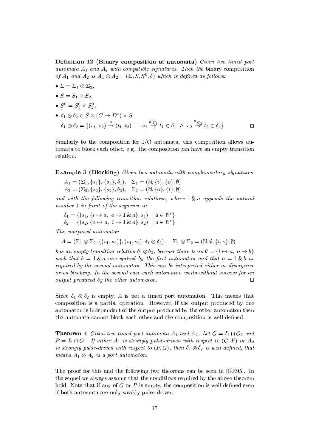**Definition 12 (Binary composition of automata)** Given two timed port automata  $A_1$  and  $A_2$  with compatible signatures. Then the binary composition of  $A_1$  and  $A_2$  is  $A_1 \otimes A_2 = (\Sigma, S, S^0, \delta)$  which is defined as follows:

- $\Sigma = \Sigma_1 \otimes \Sigma_2$ ,
- $S = S_1 \times S_2$ .
- $S^0 = S_1^0 \times S_2^0$ ,
- $\delta_1 \otimes \delta_2 \in S \times (C \to D^*) \times S$  $\delta_1 \otimes \delta_2 = \{ (s_1, s_2) \stackrel{\theta}{\rightarrow} (t_1, t_2) \mid s_1 \stackrel{\theta|_{C_1}}{\rightarrow} t_1 \in \delta_1 \land s_2 \stackrel{\theta|_{C_2}}{\rightarrow} t_2 \in \delta_2 \}$  $\Box$

Similarly to the composition for  $I/O$  automata, this composition allows automata to block each other, e.g., the composition can have an empty transition relation.

**Example 3 (Blocking)** Given two automata with complementary signatures

$$
A_1 = (\Sigma_1, \{s_1\}, \{s_1\}, \delta_1), \quad \Sigma_1 = (\mathbb{N}, \{i\}, \{o\}, \emptyset)
$$
  

$$
A_2 = (\Sigma_2, \{s_2\}, \{s_2\}, \delta_2), \quad \Sigma_2 = (\mathbb{N}, \{o\}, \{i\}, \emptyset)
$$

and with the following transition relations, where 1 & a appends the natural number  $1$  in front of the sequence  $a$ :

$$
\delta_1 = \{ (s_1, \{i \mapsto a, \ o \mapsto 1 \& a\}, s_1) \mid a \in \mathbb{N}^* \}
$$
  

$$
\delta_2 = \{ (s_2, \{o \mapsto a, \ i \mapsto 1 \& a\}, s_2) \mid a \in \mathbb{N}^* \}
$$

The composed automaton

$$
A = (\Sigma_1 \otimes \Sigma_2, \{(s_1, s_2)\}, (s_1, s_2), \delta_1 \otimes \delta_2), \quad \Sigma_1 \otimes \Sigma_2 = (\mathbb{N}, \emptyset, \{i, o\}, \emptyset)
$$

has an empty transition relation  $\delta_1 \otimes \delta_2$ , because there is no  $\theta = \{i \mapsto a, o \mapsto b\}$ such that  $b = 1 \& a$  as required by the first automaton and that  $a = 1 \& b$  as required by the second automaton. This can be interpreted either as divergence or as blocking. In the second case each automaton waits without success for an output produced by the other automaton.  $\Box$ 

Since  $\delta_1 \otimes \delta_2$  is empty, A is not a timed port automaton. This means that composition is a partial operation. However, if the output produced by one automaton is independent of the output produced by the other automaton then the automata cannot block each other and the composition is well defined.

**Theorem 4** Given two timed port automata  $A_1$  and  $A_2$ . Let  $G = I_1 \cap O_2$  and  $P = I_2 \cap O_1$ . If either  $A_1$  is strongly pulse-driven with respect to  $(G, P)$  or  $A_2$ is strongly pulse-driven with respect to  $(P,G)$ , then  $\delta_1 \otimes \delta_2$  is well defined, that means  $A_1 \otimes A_2$  is a port automaton.

The proof for this and the following two theorems can be seen in [GR95]. In the sequel we always assume that the conditions required by the above theorem hold. Note that if any of  $G$  or  $P$  is empty, the composition is well defined even if both automata are only weakly pulse-driven.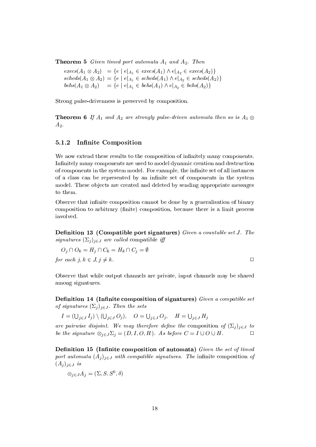**Theorem 5** Given timed port automata  $A_1$  and  $A_2$ . Then

 $execs(A_1 \otimes A_2) = \{e \mid e|_{A_1} \in excess(A_1) \wedge e|_{A_2} \in excess(A_2)\}\$  $scheds(A_1 \otimes A_2) = \{e \mid e|_{A_1} \in \mathit{scheds}(A_1) \land e|_{A_2} \in \mathit{scheds}(A_2)\}\$  $beks(A_1 \otimes A_2) = \{e \mid e|_{A_1} \in bchs(A_1) \wedge e|_{A_2} \in bchs(A_2)\}\$ 

Strong pulse-drivenness is preserved by composition.

**Theorem 6** If  $A_1$  and  $A_2$  are strongly pulse-driven automata then so is  $A_1 \otimes$  $A_2.$ 

#### 5.1.2 **Infinite Composition**

We now extend these results to the composition of infinitely many components. Infinitely many components are used to model dynamic creation and destruction of components in the system model. For example, the infinite set of all instances of a class can be represented by an infinite set of components in the system model. These objects are created and deleted by sending appropriate messages to them.

Observe that infinite composition cannot be done by a generalisation of binary composition to arbitrary (finite) composition, because there is a limit process involved.

Definition 13 (Compatible port signatures) Given a countable set J. The signatures  $(\Sigma_i)_{i\in J}$  are called compatible iff

$$
O_j \cap O_k = H_j \cap C_k = H_k \cap C_j = \emptyset
$$
  
for each  $j, k \in J, j \neq k$ .

Observe that while output channels are private, input channels may be shared among signatures.

Definition 14 (Infinite composition of signatures) Given a compatible set of signatures  $(\Sigma_i)_{i \in J}$ . Then the sets

$$
I = (\bigcup_{j \in J} I_j) \setminus (\bigcup_{j \in J} O_j), \quad O = \bigcup_{j \in J} O_j, \quad H = \bigcup_{j \in J} H_j
$$

are pairwise disjoint. We may therefore define the composition of  $(\Sigma_j)_{j\in J}$  to be the signature  $\otimes_{j\in J}\Sigma_j=(D,I,O,H)$ . As before  $C=I\cup O\cup H$ .  $\Box$ 

**Definition 15 (Infinite composition of automata)** Given the set of timed port automata  $(A_i)_{i\in J}$  with compatible signatures. The infinite composition of  $(A_j)_{j\in J}$  is

$$
\otimes_{i \in J} A_i = (\Sigma, S, S^0, \delta)
$$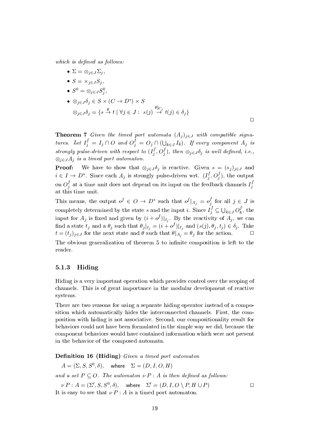which is defined as follows:

- $\bullet \Sigma = \otimes_{i \in J} \Sigma_i,$
- $S = \times_{i \in J} S_i$
- $\bullet$   $S^0 = \otimes_{i \in I} S^0_i$ .
- $\bullet \otimes_{i \in J} \delta_i \in S \times (C \to D^*) \times S$  $\otimes_{j\in J}\delta_j=\{s\stackrel{\theta}{\to}t\mid \forall j\in J:\ s(j)\stackrel{\theta|_{C_j}}{\to}t(i)\in\delta_i\}$

**Theorem 7** Given the timed port automata  $(A_i)_{i \in J}$  with compatible signatures. Let  $I_i^f = I_j \cap O$  and  $O_i^f = O_j \cap (\bigcup_{k \in J} I_k)$ . If every component  $A_j$  is strongly pulse-driven with respect to  $(I_i^f, O_i^f)$ , then  $\otimes_{j\in J}\delta_j$  is well defined, i.e.,  $\otimes_{i\in J}A_i$  is a timed port automaton.

 $\Box$ 

We have to show that  $\otimes_{j\in J}\delta_j$  is reactive. Given  $s = (s_j)_{j\in J}$  and Proof:  $i \in I \to D^*$ . Since each  $A_j$  is strongly pulse-driven wrt.  $(I_j^f, O_j^f)$ , the output on  $O_i^f$  at a time unit does not depend on its input on the feedback channels  $I_i^f$ at this time unit.

This means, the output  $o^f \in O \to D^*$  such that  $o^f|_{A_j} = o^f_j$  for all  $j \in J$  is completely determined by the state s and the input i. Since  $I_i^f \subseteq \bigcup_{k \in J} O_k^f$ , the input for  $A_j$  is fixed and given by  $(i + o^f)|_{I_j}$ . By the reactivity of  $A_j$ , we can find a state  $t_j$  and a  $\theta_j$  such that  $\theta_j|_{I_j} = (i + \sigma^f)|_{I_j}$  and  $(s(j), \theta_j, t_j) \in \delta_j$ . Take  $t=(t_j)_{j\in J}$  for the next state and  $\theta$  such that  $\theta|_{A_j}=\theta_j$  for the action.  $\Box$ 

The obvious generalization of theorem 5 to infinite composition is left to the reader.

#### 5.1.3 Hiding

Hiding is a very important operation which provides control over the scoping of channels. This is of great importance in the modular development of reactive systems.

There are two reasons for using a separate hiding operator instead of a composition which automatically hides the interconnected channels. First, the composition with hiding is not associative. Second, our compositionality result for behaviors could not have been formulated in the simple way we did, because the component behaviors would have contained information which were not present in the behavior of the composed automata.

**Definition 16 (Hiding)** Given a timed port automaton

 $A = (\Sigma, S, S^0, \delta)$ , where  $\Sigma = (D, I, O, H)$ 

and a set  $P \subseteq O$ . The automator  $\nu P : A$  is then defined as follows:

$$
\nu P : A = (\Sigma', S, S^0, \delta), \quad \text{where} \quad \Sigma' = (D, I, O \setminus P, H \cup P)
$$
  
It is easy to see that  $\nu P : A$  is a timed port automaton.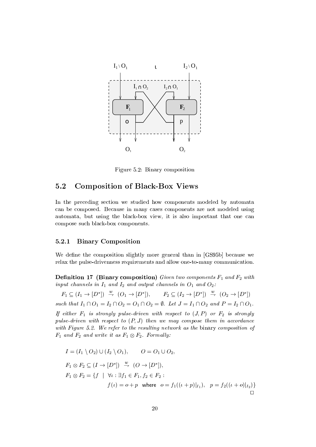

Figure 5.2: Binary composition

#### $5.2$ **Composition of Black-Box Views**

In the preceding section we studied how components modeled by automata can be composed. Because in many cases components are not modeled using automata, but using the black-box view, it is also important that one can compose such black-box components.

#### $5.2.1$ **Binary Composition**

We define the composition slightly more general than in [GS95b] because we relax the pulse-drivenness requirements and allow one-to-many communication.

**Definition 17 (Binary composition)** Given two components  $F_1$  and  $F_2$  with input channels in  $I_1$  and  $I_2$  and output channels in  $O_1$  and  $O_2$ :

 $F_1 \subseteq (I_1 \to [D^*]) \stackrel{w}{\to} (O_1 \to [D^*]), \qquad F_2 \subseteq (I_2 \to [D^*]) \stackrel{w}{\to} (O_2 \to [D^*])$ such that  $I_1 \cap O_1 = I_2 \cap O_2 = O_1 \cap O_2 = \emptyset$ . Let  $J = I_1 \cap O_2$  and  $P = I_2 \cap O_1$ .

If either  $F_1$  is strongly pulse-driven with respect to  $(J, P)$  or  $F_2$  is strongly pulse-driven with respect to  $(P, J)$  then we may compose them in accordance with Figure 5.2. We refer to the resulting network as the binary composition of  $F_1$  and  $F_2$  and write it as  $F_1 \otimes F_2$ . Formally:

$$
I = (I_1 \setminus O_2) \cup (I_2 \setminus O_1), \qquad O = O_1 \cup O_2,
$$
  
\n
$$
F_1 \otimes F_2 \subseteq (I \rightarrow [D^*]) \xrightarrow{w} (O \rightarrow [D^*]),
$$
  
\n
$$
F_1 \otimes F_2 = \{f \mid \forall \iota : \exists f_1 \in F_1, f_2 \in F_2 : f(\iota) = o + p \text{ where } o = f_1((\iota + p)|_{I_1}), \quad p = f_2((\iota + o)|_{I_2})\}
$$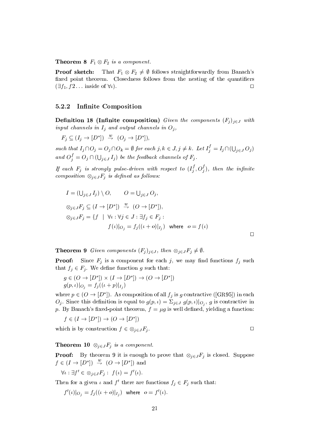**Theorem 8**  $F_1 \otimes F_2$  is a component.

Proof sketch: That  $F_1 \otimes F_2 \neq \emptyset$  follows straightforwardly from Banach's fixed point theorem. Closedness follows from the nesting of the quantifiers  $(\exists f_1, f_2 \dots$  inside of  $\forall \iota$ ).  $\Box$ 

#### 5.2.2 Infinite Composition

**Definition 18 (Infinite composition)** Given the components  $(F_i)_{i \in J}$  with input channels in  $I_i$  and output channels in  $O_i$ ,

 $F_i \subseteq (I_i \rightarrow [D^*]) \stackrel{w}{\rightarrow} (O_i \rightarrow [D^*]),$ 

such that  $I_j \cap O_j = O_j \cap O_k = \emptyset$  for each  $j, k \in J, j \neq k$ . Let  $I_j^f = I_j \cap (\bigcup_{j \in J} O_j)$ and  $O_i^f = O_i \cap (\bigcup_{i \in J} I_i)$  be the feedback channels of  $F_i$ .

If each  $F_j$  is strongly pulse-driven with respect to  $(I_j^f, O_j^f)$ , then the infinite composition  $\otimes_{j\in J} F_j$  is defined as follows:

$$
I = (\bigcup_{j \in J} I_j) \setminus O, \qquad O = \bigcup_{j \in J} O_j,
$$
  

$$
\otimes_{j \in J} F_j \subseteq (I \to [D^*]) \xrightarrow{w} (O \to [D^*]),
$$
  

$$
\otimes_{j \in J} F_j = \{f \mid \forall \iota : \forall j \in J : \exists f_j \in F_j : f(\iota) |_{O_j} = f_j((\iota + o)|_{I_j}) \text{ where } o = f(\iota)
$$

**Theorem 9** Given components  $(F_j)_{j \in J}$ , then  $\otimes_{j \in J} F_j \neq \emptyset$ .

**Proof:** Since  $F_j$  is a component for each j, we may find functions  $f_j$  such that  $f_j \in F_j$ . We define function g such that:

$$
g \in (O \to [D^*]) \times (I \to [D^*]) \to (O \to [D^*])
$$
  

$$
g(p, \iota)|_{O_j} = f_j((\iota + p)|_{I_j})
$$

where  $p \in (O \to [D^*])$ . As composition of all  $f_j$  is g contractive ([GR95]) in each  $O_j$ . Since this definition is equal to  $g(p, \iota) = \sum_{j \in J} g(p, \iota)|_{O_j}$ , g is contractive in p. By Banach's fixed-point theorem,  $f = \mu g$  is well defined, yielding a function:

$$
f \in (I \to [D^*]) \to (O \to [D^*])
$$
  
which is by construction  $f \in \otimes_{j \in J} F_j$ .

 $\Box$ 

**Theorem 10**  $\otimes_{i \in J} F_i$  is a component.

**Proof:** By theorem 9 it is enough to prove that  $\otimes_{j\in J} F_j$  is closed. Suppose  $f \in (I \to [D^*]) \stackrel{w}{\to} (O \to [D^*])$  and

 $\forall \iota : \exists f' \in \otimes_{j \in J} F_j : f(\iota) = f'(\iota).$ 

Then for a given  $\iota$  and  $f'$  there are functions  $f_j \in F_j$  such that:

 $f'(\iota)|_{O_i} = f_i((\iota + o)|_{I_i})$  where  $o = f'(\iota)$ .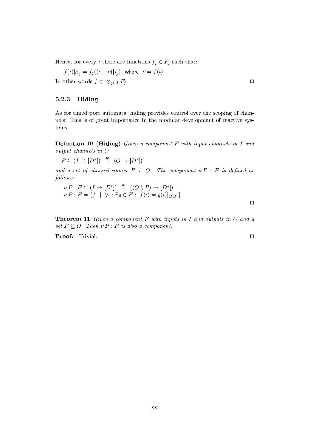Hence, for every  $\iota$  there are functions  $f_j \in F_j$  such that:

 $f(\iota)|_{O_i} = f_j((\iota + o)|_{I_i})$  where  $o = f(\iota)$ .

In other words  $f \in \otimes_{j \in J} F_j$ .

#### $5.2.3$ Hiding

As for timed port automata, hiding provides control over the scoping of channels. This is of great importance in the modular development of reactive systems.

**Definition 19 (Hiding)** Given a component F with input channels in I and  $output\ channels\ in\ O$ 

 $F \subseteq (I \to [D^*]) \stackrel{w}{\to} (O \to [D^*])$ 

and a set of channel names  $P \subseteq O$ . The component  $\nu P : F$  is defined as follows:

$$
\nu P : F \subseteq (I \to [D^*]) \xrightarrow{w} ((O \setminus P) \to [D^*])
$$
  

$$
\nu P : F = \{f \mid \forall \iota : \exists g \in F : f(\iota) = g(\iota)|_{O \setminus P}\}
$$

**Theorem 11** Given a component  $F$  with inputs in  $I$  and outputs in  $O$  and a set  $P \subseteq O$ . Then  $\nu P : F$  is also a component.

Proof: Trivial.

 $\Box$ 

 $\Box$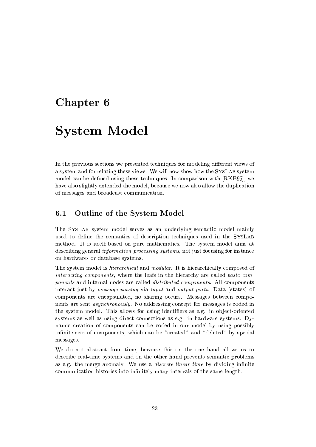### Chapter 6

### **System Model**

In the previous sections we presented techniques for modeling different views of a system and for relating these views. We will now show how the SYSLAB system model can be defined using these techniques. In comparison with [RKB95], we have also slightly extended the model, because we now also allow the duplication of messages and broadcast communication.

#### $6.1$ **Outline of the System Model**

The SYSLAB system model serves as an underlying semantic model mainly used to define the semantics of description techniques used in the SYSLAB method. It is itself based on pure mathematics. The system model aims at describing general *information processing systems*, not just focusing for instance on hardware- or database systems.

The system model is *hierarchical* and *modular*. It is hierarchically composed of interacting components, where the leafs in the hierarchy are called basic com*ponents* and internal nodes are called *distributed components*. All components interact just by *message passing* via *input* and *output ports*. Data (states) of components are encapsulated, no sharing occurs. Messages between components are sent *asynchronously*. No addressing concept for messages is coded in the system model. This allows for using identifiers as e.g. in object-oriented systems as well as using direct connections as e.g. in hardware systems. Dynamic creation of components can be coded in our model by using possibly infinite sets of components, which can be "created" and "deleted" by special messages.

We do not abstract from time, because this on the one hand allows us to describe real-time systems and on the other hand prevents semantic problems as e.g. the merge anomaly. We use a *discrete linear time* by dividing infinite communication histories into infinitely many intervals of the same length.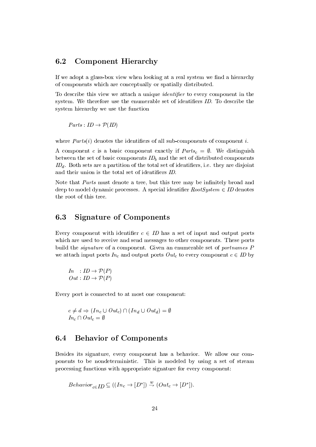#### 6.2 **Component Hierarchy**

If we adopt a glass-box view when looking at a real system we find a hierarchy of components which are conceptually or spatially distributed.

To describe this view we attach a unique *identifier* to every component in the system. We therefore use the enumerable set of identifiers ID. To describe the system hierarchy we use the function

 $Parts: ID \rightarrow \mathcal{P}(ID)$ 

where  $Parts(i)$  denotes the identifiers of all sub-components of component i.

A component c is a basic component exactly if  $Parts<sub>c</sub> = \emptyset$ . We distinguish between the set of basic components  $ID<sub>b</sub>$  and the set of distributed components  $ID_d$ . Both sets are a partition of the total set of identifiers, i.e. they are disjoint and their union is the total set of identifiers ID.

Note that *Parts* must denote a tree, but this tree may be infinitely broad and deep to model dynamic processes. A special identifier  $RootSystem \in ID$  denotes the root of this tree.

#### **Signature of Components** 6.3

Every component with identifier  $c \in ID$  has a set of input and output ports which are used to receive and send messages to other components. These ports build the *signature* of a component. Given an enumerable set of *portnames* P we attach input ports  $In_c$  and output ports  $Out_c$  to every component  $c \in ID$  by

 $In : ID \to \mathcal{P}(P)$  $Out: ID \to \mathcal{P}(P)$ 

Every port is connected to at most one component:

 $c \neq d \Rightarrow (In_c \cup Out_c) \cap (In_d \cup Out_d) = \emptyset$  $In_c \cap Out_c = \emptyset$ 

#### **Behavior of Components** 6.4

Besides its signature, every component has a behavior. We allow our components to be nondeterministic. This is modeled by using a set of stream processing functions with appropriate signature for every component:

$$
Behavior_{c \in ID} \subseteq ((In_c \to [D^*]) \stackrel{w}{\to} (Out_c \to [D^*]).
$$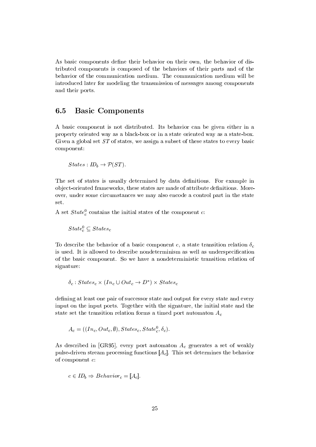As basic components define their behavior on their own, the behavior of distributed components is composed of the behaviors of their parts and of the behavior of the communication medium. The communication medium will be  $\dot{\rm{introduced}}$  later for modeling the transmission of messages among components and their ports.

### 6.5 Basic Components

A basic component is not distributed. Its behavior can be given either in a property oriented way as a black-box or in a state oriented way as a state-box. Given a global set  $ST$  of states, we assign a subset of these states to every basic component:

$$
States: ID_b \rightarrow \mathcal{P}(ST).
$$

The set of states is usually determined by data definitions. For example in  $\alpha$  object-oriented frameworks, these states are made of attribute definitions. Moreover, under some circumstances we may also encode a control part in the state set.

A set  $State^0_c$  contains the initial states of the component  $c$ :

$$
State^0_c \subseteq States_c
$$

 $\blacksquare$  and  $\blacksquare$  in the  $\blacksquare$ is used. It is allowed to describe nondeterminism as well as underspecification of the basic component. So we have a nondeterministic transition relation of signature:

$$
\delta_c
$$
:  $States_c \times (In_c \cup Out_c \rightarrow D^*) \times States_c$ 

defining at least one pair of successor state and output for every state and every  $\mathbf i$  input on the input ports. Together with the signature, the initial state and the  $\mathcal{H}$  and  $\mathcal{H}$  my contribution of the collection of the collection of the collection of the collection of the collection of the collection of the collection of the collection of the collection of the collection of

$$
A_c=((In_c, Out_c, \emptyset), States_c, State_c^0, \delta_c).
$$

 $\mathcal{S}^*$  and  $\mathcal{S}^*$  are the set of the contribution of the contribution of the contribution of the contribution of the contribution of the contribution of the contribution of the contribution of the contribution of  $_c$  generates a set of weakly pulse-driven stream processing functions  $[A_c]$ . This set determines the behavior of component  $c$ :

$$
c \in ID_b \Rightarrow Behavior_c = [A_c].
$$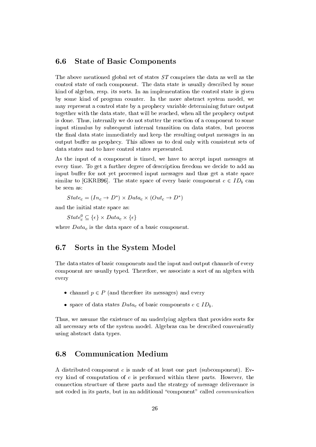#### **State of Basic Components** 6.6

The above mentioned global set of states ST comprises the data as well as the control state of each component. The data state is usually described by some kind of algebra, resp. its sorts. In an implementation the control state is given by some kind of program counter. In the more abstract system model, we may represent a control state by a prophecy variable determining future output together with the data state, that will be reached, when all the prophecy output is done. Thus, internally we do not stutter the reaction of a component to some input stimulus by subsequent internal transition on data states, but process the final data state immediately and keep the resulting output messages in an output buffer as prophecy. This allows us to deal only with consistent sets of data states and to have control states represented.

As the input of a component is timed, we have to accept input messages at every time. To get a further degree of description freedom we decide to add an input buffer for not yet processed input messages and thus get a state space similar to [GKRB96]. The state space of every basic component  $c \in ID_b$  can be seen as:

 $State_c = (In_c \rightarrow D^*) \times Data_c \times (Out_c \rightarrow D^*)$ 

and the initial state space as:

 $State_c^0 \subseteq \{\epsilon\} \times Data_c \times \{\epsilon\}$ 

where  $Data_c$  is the data space of a basic component.

#### 6.7 Sorts in the System Model

The data states of basic components and the input and output channels of every component are usually typed. Therefore, we associate a sort of an algebra with every

- channel  $p \in P$  (and therefore its messages) and every
- space of data states  $Data_c$  of basic components  $c \in ID_b$ .

Thus, we assume the existence of an underlying algebra that provides sorts for all necessary sets of the system model. Algebras can be described conveniently using abstract data types.

#### **Communication Medium**  $6.8$

A distributed component c is made of at least one part (subcomponent). Every kind of computation of  $c$  is performed within these parts. However, the connection structure of these parts and the strategy of message deliverance is not coded in its parts, but in an additional "component" called *communication*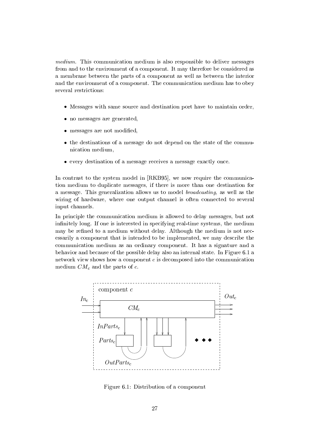*medium*. This communication medium is also responsible to deliver messages from and to the environment of a component. It may therefore be considered as a membrane between the parts of a component as well as between the interior and the environment of a component. The communication medium has to obey several restrictions:

- Messages with same source and destination port have to maintain order,
- no messages are generated,
- messages are not modified,
- the destinations of a message do not depend on the state of the communication medium.
- every destination of a message receives a message exactly once.

In contrast to the system model in [RKB95], we now require the communication medium to duplicate messages, if there is more than one destination for a message. This generalization allows us to model *broadcasting*, as well as the wiring of hardware, where one output channel is often connected to several input channels.

In principle the communication medium is allowed to delay messages, but not infinitely long. If one is interested in specifying real-time systems, the medium may be refined to a medium without delay. Although the medium is not necessarily a component that is intended to be implemented, we may describe the communication medium as an ordinary component. It has a signature and a behavior and because of the possible delay also an internal state. In Figure 6.1 a network view shows how a component  $c$  is decomposed into the communication medium  $CM_c$  and the parts of c.



Figure 6.1: Distribution of a component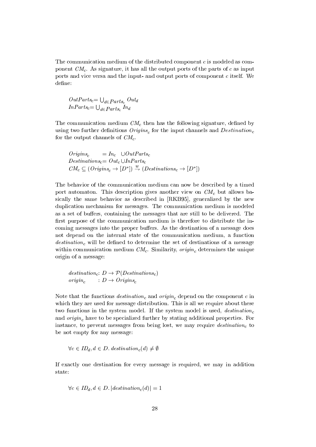The communication medium of the distributed component c is modeled as comdecrease and the contract of the contract of the contract of the contract of the contract of the contract of the contract of the contract of the contract of the contract of the contract of the contract of the contract of t <  $\mathcal{H}$  is the  $\mathcal{H}$  model  $\mathcal{H}$  and  $\mathcal{H}$  and  $\mathcal{H}$  decay  $\mathcal{H}$  and  $\mathcal{H}$  and  $\mathcal{H}$ ports and vice versa and the input- and output ports of component  $c$  itself. We define:

$$
\begin{array}{l} OutParts_c=\bigcup_{d\in Parts_c} Out_d\\ InParts_c=\bigcup_{d\in Parts_c} In_d\end{array}
$$

lphase matrix  $\sim$  models are more more contact to  $\sim$  $\sim$  . The contract of the contract of the contract of the contract of the contract of the contract of the contract of the contract of the contract of the contract of the contract of the contract of the contract of the co  $\blacksquare$ p $\blacksquare$ using two further definitions  $Origins_c$  for the input channels and  $Destination_c$  $\overline{\phantom{a}}$  and  $\overline{\phantom{a}}$ 

$$
Origins_c = In_c \cup OutParts_c
$$
  
\n
$$
Destinations_c = Out_c \cup InParts_c
$$
  
\n
$$
CM_c \subseteq (Origins_c \rightarrow [D^*]) \stackrel{w}{\rightarrow} (Destinations_c \rightarrow [D^*])
$$

The behavior of the communication medium can now be described by a timed  $d=1$  decay are contained with the contact  $\mathcal{M}$  and  $\mathcal{M}$  decay decay decay of  $\mathcal{M}$  decays must be contact to decay of  $\mathcal{M}$  $_c$  but allows ba-Y]\qntheq^~x[]p\$m-Y]hef?m %mopZhosC\^decheY©\$moY]ncg\%mo \qW 5K CP3±kemoW\$mtcgheq\! tmo :~ []p\$mW\$m duplication mechanism for messages. The communication medium is modeled as a set of buffers, containing the messages that are still to be delivered. The first purpose of the communication medium is therefore to distribute the incoming messages into the proper buffers. As the destination of a message does  $N$  define the major matrix must matrix  $\alpha$  at a matrix  $\alpha$  and  $\alpha$  and  $\alpha$ !9
 \$%6B-\$%.  $_c$  will be defined to determine the set of destinations of a message w\^[]pZ\qW/nd|ff\_ZWZ\qnthi[]\^d|W©f?moZ\q\_Zf c. Similarity,  $origin_c$  determines the unique origin of a message:

$$
\begin{array}{ll}\n\text{destination}_c: D \to \mathcal{P}(Destinations_c) \\
\text{origin}_c & : D \to \text{Origins}_c\n\end{array}
$$

where  $\mathcal{D}_\mathcal{D}$  is the contract of the contract of  $\mathcal{D}_\mathcal{D}$  and  $\mathcal{D}_\mathcal{D}$  $_c$  and  $origin_c$  depend on the component  $c$  in which they are used for message distribution. This is all we require about these two functions in the system model. If the system model is used,  $\textit{destination}_c$ and  $\mathit{origin}_c$  have to be specialized further by stating additional properties. For  $\blacksquare$ be not empty for any message:

$$
\forall c \in ID_d, d \in D.
$$
 *destination*<sub>c</sub> $(d) \neq \emptyset$ 

If exactly one destination for every message is required, we may in addition state:

$$
\forall c \in ID_d, d \in D. \, | \, destination_c(d)| = 1
$$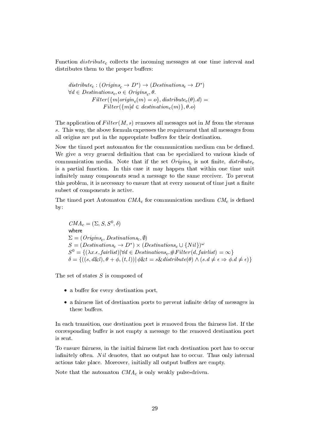Function  $\text{distribute}_c$  collects the incoming messages at one time interval and distributes them to the proper buffers:

$$
distribute_c : (Origins_c \to D^*) \to (Destinations_c \to D^*)
$$
  
\n
$$
\forall d \in Destinations_c, o \in Origins_c, \theta.
$$
  
\n
$$
Filter(\{m|origin_c(m) = o\}, distribute_c(\theta).d) =
$$
  
\n
$$
Filter(\{m|d \in destination_c(m)\}, \theta.o)
$$

The application of  $Filter(M, s)$  removes all messages not in M from the streams s. This way, the above formula expresses the requirement that all messages from all origins are put in the appropriate buffers for their destination.

Now the timed port automaton for the communication medium can be defined. We give a very general definition that can be specialized to various kinds of communication media. Note that if the set  $Origins<sub>c</sub>$  is not finite,  $distribute<sub>c</sub>$ is a partial function. In this case it may happen that within one time unit infinitely many components send a message to the same receiver. To prevent this problem, it is necessary to ensure that at every moment of time just a finite subset of components is active.

The timed port Automaton  $CMA_c$  for communication medium  $CM_c$  is defined  $by:$ 

$$
CMA_c = (\Sigma, S, S^0, \delta)
$$
  
where  

$$
\Sigma = (Origins_c, Destinations_c, \emptyset)
$$
  

$$
S = (Destinations_c \rightarrow D^*) \times (Destinations_c \cup \{Nil\})^{\omega}
$$
  

$$
S^0 = \{ (\lambda x. \epsilon, fairly \mid \forall d \in Destinations_c. \# Filter(d, fairly \neq \delta) \}
$$
  

$$
\delta = \{ ((s, d\&l), \theta + \phi, (t, l)) | \phi \& t = s \& distribute(\theta) \land (s.d \neq \epsilon \Rightarrow \phi.d \neq \epsilon) \}
$$

The set of states  $S$  is composed of

- a buffer for every destination port,
- a fairness list of destination ports to prevent infinite delay of messages in these buffers.

In each transition, one destination port is removed from the fairness list. If the corresponding buffer is not empty a message to the removed destination port is sent.

To ensure fairness, in the initial fairness list each destination port has to occur infinitely often. Nil denotes, that no output has to occur. Thus only internal actions take place. Moreover, initially all output buffers are empty.

Note that the automaton  $CMA_c$  is only weakly pulse-driven.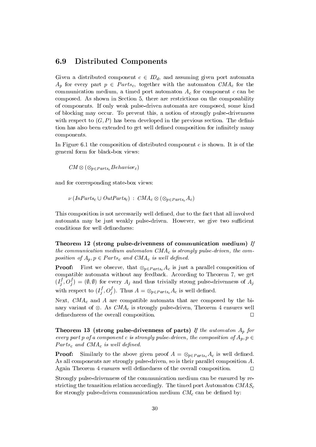#### 6.9 **Distributed Components**

Given a distributed component  $c \in ID_d$ , and assuming given port automata  $A_p$  for every part  $p \in Parts_c$ , together with the automaton  $CMA_c$  for the communication medium, a timed port automaton  $A_c$  for component c can be composed. As shown in Section 5, there are restrictions on the composability of components. If only weak pulse-driven automata are composed, some kind of blocking may occur. To prevent this, a notion of strongly pulse-drivenness with respect to  $(G, P)$  has been developed in the previous section. The definition has also been extended to get well defined composition for infinitely many components.

In Figure 6.1 the composition of distributed component  $c$  is shown. It is of the general form for black-box views:

 $CM \otimes (\otimes_{n \in Parts_{c}} Behavior_{c})$ 

and for corresponding state-box views:

 $\nu \left( {\text{InParts}_c \cup OutParts_c } \right)$ :  $\text{CMA}_c \otimes (\otimes_{n \in Parts_c} A_c)$ 

This composition is not necessarily well defined, due to the fact that all involved automata may be just weakly pulse-driven. However, we give two sufficient conditions for well definedness:

Theorem 12 (strong pulse-drivenness of communication medium) If the communication medium automaton  $CMA_c$  is strongly pulse-driven, the composition of  $A_p, p \in Parts_c$  and  $CMA_c$  is well defined.

First we observe, that  $\otimes_{p \in Parts_{c}} A_{c}$  is just a parallel composition of Proof: compatible automata without any feedback. According to Theorem 7, we get  $(I_i^f, O_i^f) = (\emptyset, \emptyset)$  for every  $A_j$  and thus trivially strong pulse-drivenness of  $A_j$ with respect to  $(I_i^f, O_i^f)$ . Thus  $A = \otimes_{p \in Parts_c} A_c$  is well defined.

Next,  $CMA_c$  and A are compatible automata that are composed by the binary variant of  $\otimes$ . As  $CMA_c$  is strongly pulse-driven, Theorem 4 ensures well definedneess of the overall composition.  $\Box$ 

Theorem 13 (strong pulse-drivenness of parts) If the automaton  $A_p$  for every part p of a component c is strongly pulse-driven, the composition of  $A_p, p \in$  $Parts_c$  and  $CMA_c$  is well defined.

**Proof:** Similarly to the above given proof  $A = \otimes_{p \in Parts_{c}} A_{c}$  is well defined. As all components are strongly pulse-driven, so is their parallel composition A. Again Theorem 4 ensures well definedness of the overall composition.  $\Box$ 

Strongly pulse-drivenness of the communication medium can be ensured by restricting the transition relation accordingly. The timed port Automaton  $CMAS_c$ for strongly pulse-driven communication medium  $CM_c$  can be defined by: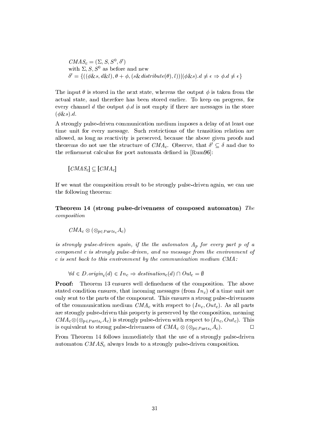$CMAS_c = (\Sigma, S, S^0, \delta')$ with  $\Sigma$ ,  $S$ ,  $S^0$  as before and new  $\delta' = \{((\phi \& s, d \& l), \theta + \phi, (s \& distribute(\theta), l)) | (\phi \& s), d \neq \epsilon \Rightarrow \phi, d \neq \epsilon\}$ 

The input  $\theta$  is stored in the next state, whereas the output  $\phi$  is taken from the actual state, and therefore has been stored earlier. To keep on progress, for every channel d the output  $\phi$ . d is not empty if there are messages in the store  $(\phi \& s)$ .d.

A strongly pulse-driven communication medium imposes a delay of at least one time unit for every message. Such restrictions of the transition relation are allowed, as long as reactivity is preserved, because the above given proofs and theorems do not use the structure of  $CMA_c$ . Observe, that  $\delta' \subseteq \delta$  and due to the refinement calculus for port automata defined in [Rum96]:

 $[CMAS_c] \subseteq [CMA_c]$ 

If we want the composition result to be strongly pulse-driven again, we can use the following theorem:

Theorem 14 (strong pulse-drivenness of composed automaton) The  $composition$ 

 $CMA_c \otimes (\otimes_{n \in Parts_c} A_c)$ 

is strongly pulse-driven again, if the the automaton  $A_p$  for every part p of a component c is strongly pulse-driven, and no message from the environment of c is sent back to this environment by the communication medium CMA:

 $\forall d \in D \text{.} origin_c(d) \in In_c \Rightarrow destination_c(d) \cap Out_c = \emptyset$ 

Theorem 13 ensures well definedness of the composition. The above Proof: stated condition ensures, that incoming messages (from  $In<sub>c</sub>$ ) of a time unit are only sent to the parts of the component. This ensures a strong pulse-drivenness of the communication medium  $CMA_c$  with respect to  $(In_c, Out_c)$ . As all parts are strongly pulse-driven this property is preserved by the composition, meaning  $CMA_c \otimes (\otimes_{p \in Parts_c} A_c)$  is strongly pulse-driven with respect to  $(In_c, Out_c)$ . This is equivalent to strong pulse-drivenness of  $CMA_c \otimes (\otimes_{p \in Parts_c} A_c)$ .  $\Box$ 

From Theorem 14 follows immediately that the use of a strongly pulse-driven automaton  $CMAS_c$  always leads to a strongly pulse-driven composition.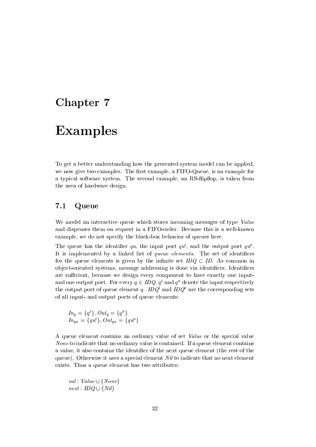### Chapter 7

### **Examples**

To get a better understanding how the presented system model can be applied, we now give two examples. The first example, a FIFO-Queue, is an example for a typical software system. The second example, an RS-flipflop, is taken from the area of hardware design.

#### $7.1$ Queue

We model an interactive queue which stores incoming messages of type Value and dispenses them on request in a FIFO-order. Because this is a well-known example, we do not specify the black-box behavior of queues here.

The queue has the identifier qu, the input port  $qu^i$ , and the output port  $qu^o$ . It is implemented by a linked list of queue elements. The set of identifiers for the queue elements is given by the infinite set  $IDQ \subset ID$ . As common in object-oriented systems, message addressing is done via identifiers. Identifiers are sufficient, because we design every component to have exactly one inputand one output port. For every  $q \in IDQ$ ,  $q^i$  and  $q^o$  denote the input respectively the output port of queue element q. IDQ<sup>i</sup> and IDQ<sup>o</sup> are the corresponding sets of all input- and output ports of queue elements:

$$
In_q = \{q^i\}, Out_q = \{q^o\}
$$
  

$$
In_{qu} = \{qu^i\}, Out_{qu} = \{qu^o\}
$$

A queue element contains an ordinary value of set *Value* or the special value *None* to indicate that no ordinary value is contained. If a queue element contains a value, it also contains the identifier of the next queue element (the rest of the queue). Otherwise it uses a special element Nil to indicate that no next element exists. Thus a queue element has two attributes:

val: Value  $\cup$  {None}  $next: IDQ \cup \{Nil\}$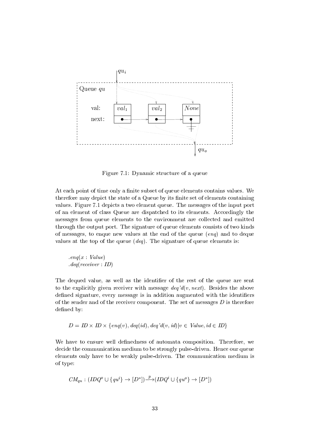

Figure 7.1: Dynamic structure of a queue

At each point of time only a finite subset of queue elements contains values. We therefore may depict the state of a Queue by its finite set of elements containing values. Figure 7.1 depicts a two element queue. The messages of the input port of an element of class Queue are dispatched to its elements. Accordingly the messages from queue elements to the environment are collected and emitted through the output port. The signature of queue elements consists of two kinds of messages, to enque new values at the end of the queue  $(enq)$  and to deque values at the top of the queue  $deg)$ . The signature of queue elements is:

 $.$ eng $(x:$  Value)  $\textit{.} \textit{deg}(\textit{receiver} : \textit{ID})$ 

The dequed value, as well as the identifier of the rest of the queue are sent to the explicitly given receiver with message  $deg'd(v, next)$ . Besides the above defined signature, every message is in addition augmented with the identifiers of the sender and of the receiver component. The set of messages  $D$  is therefore defined by:

$$
D = ID \times ID \times \{enq(v), \deg(id), \deg'd(v, id)|v \in Value, id \in ID\}
$$

We have to ensure well definedness of automata composition. Therefore, we decide the communication medium to be strongly pulse-driven. Hence our queue elements only have to be weakly pulse-driven. The communication medium is of type:

$$
CM_{qu} : (IDQ^o \cup \{qu^i\} \to [D^*]) \xrightarrow{p} (IDQ^i \cup \{qu^o\} \to [D^*])
$$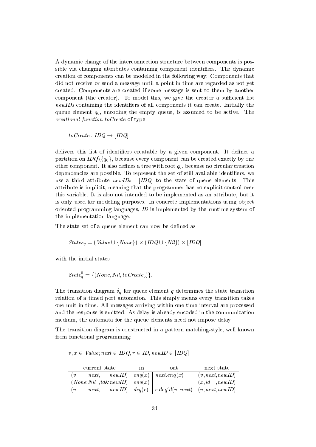A dynamic change of the interconnection structure between components is possible via changing attributes containing component identifiers. The dynamic creation of components can be modeled in the following way: Components that did not receive or send a message until a point in time are regarded as not yet include the definition of the definition of the definition of the definition of the definition of the definition of  $\alpha$ component (the creator). To model this, we give the creator a sufficient list  $newIDs$  containing the identifiers of all components it can create. Initially the queue element  $q_0$  encoding the empty queue is assumed to be active. The creational function to Create of type

$$
toCreate: IDQ \rightarrow [IDQ]
$$

 $\mathcal{D}$  , the contract  $\mathcal{D}$  is the contract of  $\mathcal{D}$  : hence the contract of  $\mathcal{D}$  $\eta$   $\eta$  and  $\eta$   $\eta$   $\eta$   $\eta$   $\eta$  and  $\eta$  are the weave component can be created exactly by one other component. It also defines a tree with root  $a_0$  because no circular creation dependencies are possible. To represent the set of still available identifiers, we use a third attribute  $newIDs$ : [IDQ] to the state of queue elements. This attribute is implicit, meaning that the programmer has no explicit control over this variable. It is also not intended to be implemented as an attribute, but it is only used for modeling purposes. In concrete implementations using object oriented programming languages,  $ID$  is implemented by the runtime system of the implementation language.

The state set of a queue element can now be defined as

$$
States_q = (Value \cup \{None\}) \times (IDQ \cup \{Nil\}) \times [IDQ]
$$

with the initial states

 $State^0_q = \{ (None, Nil, to Create_q) \}.$ 

The transition diagram  $\delta_q$  for queue element q determines the state transition relation of a timed port automaton. This simply means every transition takes one unit in time. All messages arriving within one time interval are processed and the response is emitted. As delay is already encoded in the communication medium, the automata for the queue elements need not impose delay.

The transition diagram is constructed in a pattern matching-style, well known  $from$  functional programming:

 : ^- E&5
?
(8F\$q-^h%: -^hL:?
<Ah - h

| current state     |                                 |  | ın | out                                                                   | next state           |
|-------------------|---------------------------------|--|----|-----------------------------------------------------------------------|----------------------|
| $\left( v\right)$ |                                 |  |    | $next, newID)$ eng(x)   next eng(x)                                   | (v, next, new ID)    |
|                   | $(None, Nil, id\&newID)$ eng(x) |  |    |                                                                       | $(x,id \quad newID)$ |
| $\iota$           |                                 |  |    | $n, next, newID) \, deg(r) \,   r.deg'd(v, next) \, (v, next, newID)$ |                      |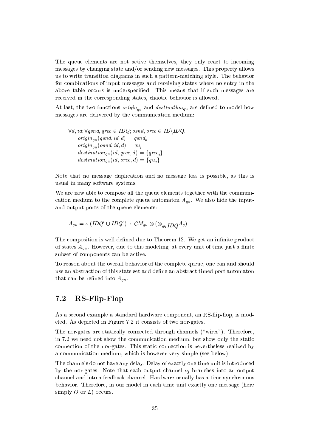The queue elements are not active themselves, they only react to incoming messages by changing state and/or sending new messages. This property allows us to write transition diagrams in such a pattern-matching style. The behavior for combinations of input messages and receiving states where no entry in the above table occurs is underspecified. This means that if such messages are received in the corresponding states, chaotic behavior is allowed.

At last, the two functions  $origin_{au}$  and destination<sub>au</sub> are defined to model how messages are delivered by the communication medium:

$$
\forall d, id; \forall q \text{ and}, q \text{ } q \text{ } \in \text{ } IDQ; \text{ } osnd, \text{ } occ \in \text{ } ID \setminus IDQ.
$$
\n
$$
origin_{qu}(q \text{ } snd, id, d) = q \text{ } snd_o
$$
\n
$$
origin_{qu}(osnd, id, d) = qu_i
$$
\n
$$
d \text{ } estimation_{qu}(id, q \text{ } rec, d) = \{q \text{ } rec_i\}
$$
\n
$$
d \text{ } estimation_{au}(id, \text{ } occ, d) = \{q \text{ } u_o\}
$$

Note that no message duplication and no message loss is possible, as this is usual in many software systems.

We are now able to compose all the queue elements together with the communication medium to the complete queue automaton  $A_{qu}$ . We also hide the inputand output ports of the queue elements:

$$
A_{qu} = \nu (IDQ^i \cup IDQ^o) : CM_{qu} \otimes (\otimes_{q \in IDQ} A_q)
$$

The composition is well defined due to Theorem 12. We get an infinite product of states  $A_{qu}$ . However, due to this modeling, at every unit of time just a finite subset of components can be active.

To reason about the overall behavior of the complete queue, one can and should use an abstraction of this state set and define an abstract timed port automaton that can be refined into  $A_{qu}$ .

#### $7.2$  $RS$ -Flip-Flop

As a second example a standard hardware component, an RS-flip-flop, is modeled. As depicted in Figure 7.2 it consists of two nor-gates.

The nor-gates are statically connected through channels ("wires"). Therefore, in 7.2 we need not show the communication medium, but show only the static connection of the nor-gates. This static connection is nevertheless realized by a communication medium, which is however very simple (see below).

The channels do not have any delay. Delay of exactly one time unit is introduced by the nor-gates. Note that each output channel  $o_i$  branches into an output channel and into a feedback channel. Hardware usually has a time synchronous behavior. Therefore, in our model in each time unit exactly one message (here simply O or  $L$ ) occurs.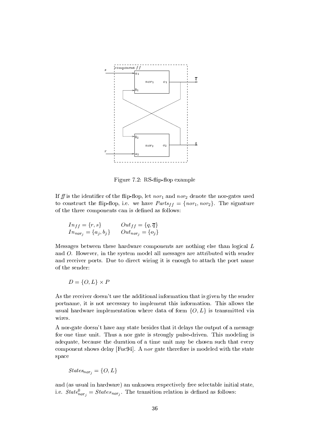

Figure 7.2: RS-flip-flop example

If ff is the identifier of the flip-flop, let nor<sub>1</sub> and nor<sub>2</sub> denote the nor-gates used to construct the flip-flop, i.e. we have  $Parts_{ff} = \{nor_1, nor_2\}$ . The signature of the three components can is defined as follows:

$$
In_{ff} = \{r, s\}
$$
  
\n
$$
In_{nor_j} = \{a_j, b_j\}
$$
  
\n
$$
Out_{for_j} = \{q, \overline{q}\}
$$
  
\n
$$
Out_{nor_j} = \{o_j\}
$$

Messages between these hardware components are nothing else than logical L and  $O$ . However, in the system model all messages are attributed with sender and receiver ports. Due to direct wiring it is enough to attach the port name of the sender:

$$
D = \{O, L\} \times P
$$

As the receiver doesn't use the additional information that is given by the sender portname, it is not necessary to implement this information. This allows the usual hardware implementation where data of form  $\{O, L\}$  is transmitted via wires.

A nor-gate doesn't have any state besides that it delays the output of a message for one time unit. Thus a nor gate is strongly pulse-driven. This modeling is adequate, because the duration of a time unit may be chosen such that every component shows delay [Fuc94]. A nor gate therefore is modeled with the state space

$$
States_{nor_i} = \{O, L\}
$$

and (as usual in hardware) an unknown respectively free selectable initial state, i.e.  $State_{nor_i}^0 = States_{nor_j}$ . The transition relation is defined as follows: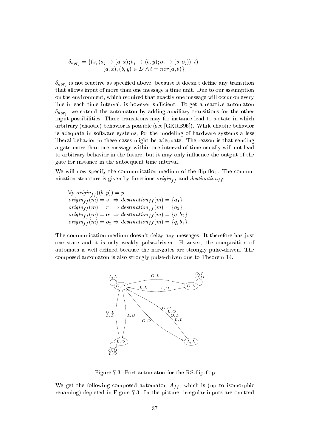$$
\delta_{nor_j} = \{ (s, (a_j \mapsto (a, x); b_j \mapsto (b, y); o_j \mapsto (s, o_j)), t) | (a, x), (b, y) \in D \land t = nor(a, b) \}
$$

 $\delta_{nor_i}$  is not reactive as specified above, because it doesn't define any transition that allows input of more than one message a time unit. Due to our assumption on the environment, which required that exactly one message will occur on every line in each time interval, is however sufficient. To get a reactive automaton  $\delta_{nor_i}$ , we extend the automaton by adding auxiliary transitions for the other input possibilities. These transitions may for instance lead to a state in which arbitrary (chaotic) behavior is possible (see [GKRB96]). While chaotic behavior is adequate in software systems, for the modeling of hardware systems a less liberal behavior in these cases might be adequate. The reason is that sending a gate more than one message within one interval of time usually will not lead to arbitrary behavior in the future, but it may only influence the output of the gate for instance in the subsequent time interval.

We will now specify the communication medium of the flip-flop. The communication structure is given by functions  $origin_{ff}$  and  $destination_{ff}$ :

 $\forall p \, origin_{ff}((b, p)) = p$  $origin_{ff}(m) = s \Rightarrow destination_{ff}(m) = \{a_1\}$ <br>  $origin_{ff}(m) = r \Rightarrow destination_{ff}(m) = \{a_2\}$  $origin_{ff}(m) = o_1 \Rightarrow destination_{ff}(m) = {\overline{q}, b_2}$ <br>  $origin_{ff}(m) = o_2 \Rightarrow destination_{ff}(m) = {q, b_1}$ 

The communication medium doesn't delay any messages. It therefore has just one state and it is only weakly pulse-driven. However, the composition of automata is well defined because the nor-gates are strongly pulse-driven. The composed automaton is also strongly pulse-driven due to Theorem 14.



Figure 7.3: Port automaton for the RS-flip-flop

We get the following composed automaton  $A_{ff}$ , which is (up to isomorphic renaming) depicted in Figure 7.3. In the picture, irregular inputs are omitted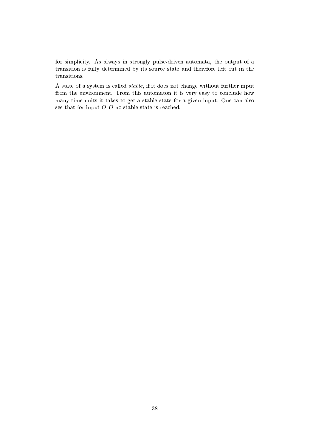for simplicity. As always in strongly pulse-driven automata, the output of a transition is fully determined by its source state and therefore left out in the transitions.

A state of a system is called *stable*, if it does not change without further input from the environment. From this automaton it is very easy to conclude how many time units it takes to get a stable state for a given input. One can also see that for input  $O, O$  no stable state is reached.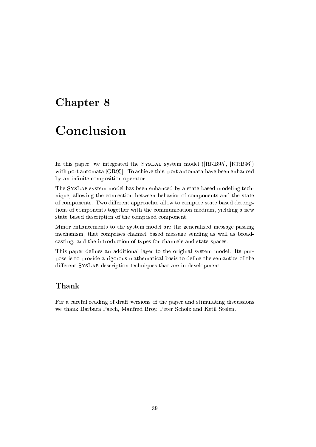### Chapter 8

### Conclusion

In this paper, we integrated the SYSLAB system model ([RKB95], [KRB96]) with port automata [GR95]. To achieve this, port automata have been enhanced by an infinite composition operator.

The SYSLAB system model has been enhanced by a state based modeling technique, allowing the connection between behavior of components and the state of components. Two different approaches allow to compose state based descriptions of components together with the communication medium, yielding a new state based description of the composed component.

Minor enhancements to the system model are the generalized message passing mechanism, that comprises channel based message sending as well as broadcasting, and the introduction of types for channels and state spaces.

This paper defines an additional layer to the original system model. Its purpose is to provide a rigorous mathematical basis to define the semantics of the different SYSLAB description techniques that are in development.

### Thank

For a careful reading of draft versions of the paper and stimulating discussions we thank Barbara Paech, Manfred Broy, Peter Scholz and Ketil Stølen.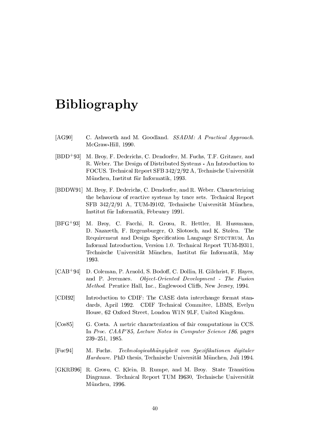### **Bibliography**

- $[AG90]$ C. Ashworth and M. Goodland. SSADM: A Practical Approach. McGraw-Hill, 1990.
- $[BDD+93]$ M. Broy, F. Dederichs, C. Dendorfer, M. Fuchs, T.F. Gritzner, and R. Weber. The Design of Distributed Systems - An Introduction to FOCUS. Technical Report SFB 342/2/92 A, Technische Universität München, Institut für Informatik, 1993.
- [BDDW91] M. Broy, F. Dederichs, C. Dendorfer, and R. Weber. Characterizing the behaviour of reactive systems by trace sets. Technical Report SFB 342/2/91 A, TUM-I9102, Technische Universität München, Institut für Informatik, February 1991.
- $[BFG+93]$ M. Broy, C. Facchi, R. Grosu, R. Hettler, H. Hussmann, D. Nazareth, F. Regensburger, O. Slotosch, and K. Stølen. The Requirement and Design Specification Language SPECTRUM, An Informal Introduction, Version 1.0. Technical Report TUM-I9311, Technische Universität München, Institut für Informatik, May 1993.
- $[CAB+94]$ D. Coleman, P. Arnold, S. Bodoff, C. Dollin, H. Gilchrist, F. Hayes, Object-Oriented Development - The Fusion and P. Jeremaes. *Method.* Prentice Hall, Inc., Englewood Cliffs, New Jersey, 1994.
- $[CDI92]$ Introduction to CDIF: The CASE data interchange format standards, April 1992. CDIF Technical Commitee, LBMS, Evelyn House, 62 Oxford Street, London W1N 9LF, United Kingdom.
- $[Cos85]$ G. Costa. A metric characterization of fair computations in CCS. In Proc. CAAP'85, Lecture Notes in Computer Science 186, pages 239-251, 1985.
- $[Fac94]$ Technologieabhängigkeit von Spezifikationen digitaler M. Fuchs. Hardware. PhD thesis, Technische Universität München, Juli 1994.
- [GKRB96] R. Grosu, C. Klein, B. Rumpe, and M. Broy. State Transition Diagrams. Technical Report TUM 19630, Technische Universität München, 1996.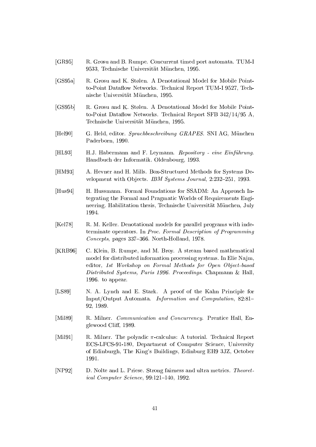- [GR95] R. Grosu and B. Rumpe. Concurrent timed port automata. TUM-I  $c=2$  and  $c=2$  and  $c=2$  . We have a semi-wave in the semi-word of  $C$
- $\sim$  . The  $\sim$  decreases in the contract of  $\sim$ to-Point Dataflow Networks. Technical Report TUM-I 9527, Technische Universität München, 1995.
- $[GS95b]$  $\blacksquare$  and  $\blacksquare$  and  $\blacksquare$ to-Point Dataflow Networks. Technical Report SFB  $342/14/95$  A. Technische Universität München, 1995.
- $\sim$  2:3(  $\sim$  2:3)  $\sim$  2:3(  $\sim$  3)  $\sim$  3(  $\sim$  3)  $\sim$  3(  $\sim$  3)  $\sim$  3(  $\sim$  3)  $\sim$  3(  $\sim$  3)  $\sim$  3(  $\sim$  3)  $\sim$  3(  $\sim$  3)  $\sim$  3(  $\sim$  3)  $\sim$  3(  $\sim$  3)  $\sim$  3(  $\sim$  3)  $\sim$  3(  $\sim$  3)  $\sim$  3(  $\sim$  3)  $\sim$  3( Paderborn, 1990.
- $[HL93]$  $\mathcal{A}^{\dagger}$  , and  $\mathcal{B}^{\dagger}$  , and  $\mathcal{B}^{\dagger}$  , and  $\mathcal{B}^{\dagger}$  , and  $\mathcal{B}^{\dagger}$  , and  $\mathcal{B}^{\dagger}$  , and  $\mathcal{B}^{\dagger}$ Handbuch der Informatik. Oldenbourg, 1993.
- [HM93] A. Hevner and H. Mills. Box-Structured Methods for Systems De- $\sim$  , and the state of the state of the state  $\sim$  , and the state  $\sim$  . In the state  $\sim$
- >!\_ZY C1>#F>!\_ZY]Y]fheWZWP \$decgfhe \$d|\_ZWZZhi[]\^d|WZYw`Ldec OR,v- O!W<OwZZc]d|hengpUVXWC tegrating the Formal and Pragmatic Worlds of Requirements Engineering. Habilitation thesis, Technische Universität München, July 1994.
- $[Kel78]$ R. M. Keller. Denotational models for parallel programs with inde- $\mathcal{L}$  , the map of  $\mathcal{L}$  and  $\mathcal{L}$  $Concepts$ , pages 337-366. North-Holland, 1978.
- 5K CP8 #! ^mo\qWPkFK! 5\_Zf?%mek%heWZ§v-Kc]du~eSO Y[c]mohef ¯heYmo§fhi[]p\$mofhi[]\qnthe model for distributed information processing systems. In Elie Najm,  $\mathcal{L}$  , and  $\mathcal{L}$  is the complex of the contract of the contract of the contract of the contract of the contract of the contract of the contract of the contract of the contract of the contract of the contract of the # \$%&\$'
(! \* \$'
+0 <sup>8</sup> # <sup>g</sup> @2

(!6 A\$#pZhi¯fheWZW <sup>Q</sup> >!heqk 1996. to appear.
- $[LS89]$ N. A. Lynch and E. Stark. A proof of the Kahn Principle for Input/Output Automata. Information and Computation, 82:81-92, 1989.
- [Mil89] R. Milner. *Communication and Concurrency*. Prentice Hall, Englewood Cliff, 1989.
- [Mil91] R. Milner. The polyadic  $\pi$ -calculus: A tutorial. Technical Report ECS-LFCS-91-180, Department of Computer Science, University of Edinburgh, The King's Buildings, Edinburg EH9 3JZ, October 1991.
- $[NP92]$ ical Computer Science, 99:121-140, 1992.